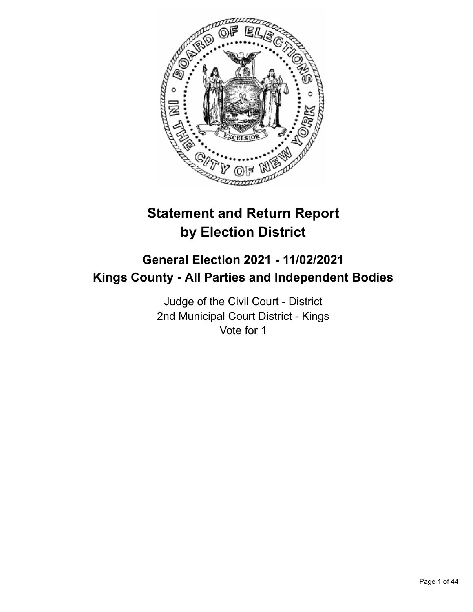

# **Statement and Return Report by Election District**

# **General Election 2021 - 11/02/2021 Kings County - All Parties and Independent Bodies**

Judge of the Civil Court - District 2nd Municipal Court District - Kings Vote for 1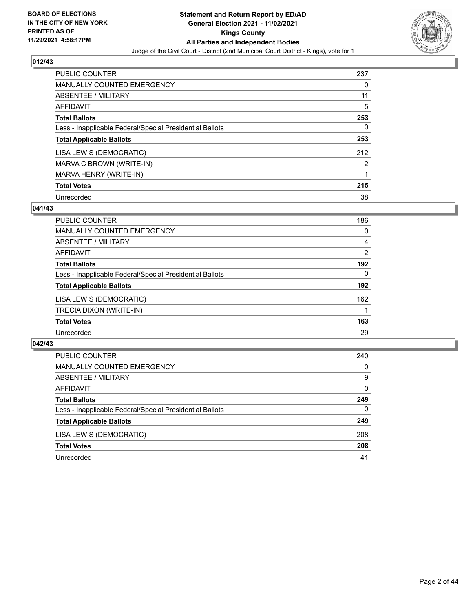

| <b>PUBLIC COUNTER</b>                                    | 237            |
|----------------------------------------------------------|----------------|
| <b>MANUALLY COUNTED EMERGENCY</b>                        | $\Omega$       |
| ABSENTEE / MILITARY                                      | 11             |
| AFFIDAVIT                                                | 5              |
| <b>Total Ballots</b>                                     | 253            |
| Less - Inapplicable Federal/Special Presidential Ballots | 0              |
| <b>Total Applicable Ballots</b>                          | 253            |
| LISA LEWIS (DEMOCRATIC)                                  | 212            |
| MARVA C BROWN (WRITE-IN)                                 | $\overline{2}$ |
| MARVA HENRY (WRITE-IN)                                   |                |
| <b>Total Votes</b>                                       | 215            |
| Unrecorded                                               | 38             |

## **041/43**

| <b>PUBLIC COUNTER</b>                                    | 186            |
|----------------------------------------------------------|----------------|
| <b>MANUALLY COUNTED EMERGENCY</b>                        | 0              |
| ABSENTEE / MILITARY                                      | 4              |
| <b>AFFIDAVIT</b>                                         | $\overline{2}$ |
| <b>Total Ballots</b>                                     | 192            |
| Less - Inapplicable Federal/Special Presidential Ballots | $\Omega$       |
| <b>Total Applicable Ballots</b>                          | 192            |
| LISA LEWIS (DEMOCRATIC)                                  | 162            |
| TRECIA DIXON (WRITE-IN)                                  |                |
| <b>Total Votes</b>                                       | 163            |
| Unrecorded                                               | 29             |

| PUBLIC COUNTER                                           | 240      |
|----------------------------------------------------------|----------|
| MANUALLY COUNTED EMERGENCY                               | $\Omega$ |
| <b>ABSENTEE / MILITARY</b>                               | 9        |
| AFFIDAVIT                                                | $\Omega$ |
| <b>Total Ballots</b>                                     | 249      |
| Less - Inapplicable Federal/Special Presidential Ballots | $\Omega$ |
| <b>Total Applicable Ballots</b>                          | 249      |
| LISA LEWIS (DEMOCRATIC)                                  | 208      |
| <b>Total Votes</b>                                       | 208      |
| Unrecorded                                               | 41       |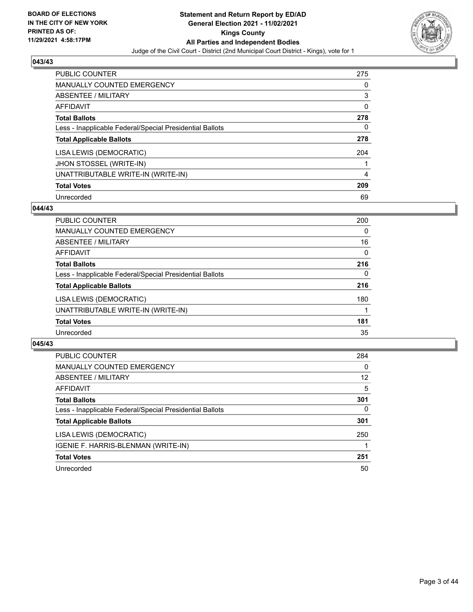

| <b>PUBLIC COUNTER</b>                                    | 275 |
|----------------------------------------------------------|-----|
| <b>MANUALLY COUNTED EMERGENCY</b>                        | 0   |
| ABSENTEE / MILITARY                                      | 3   |
| AFFIDAVIT                                                | 0   |
| <b>Total Ballots</b>                                     | 278 |
| Less - Inapplicable Federal/Special Presidential Ballots | 0   |
| <b>Total Applicable Ballots</b>                          | 278 |
| LISA LEWIS (DEMOCRATIC)                                  | 204 |
| JHON STOSSEL (WRITE-IN)                                  |     |
| UNATTRIBUTABLE WRITE-IN (WRITE-IN)                       | 4   |
| <b>Total Votes</b>                                       | 209 |
| Unrecorded                                               | 69  |

#### **044/43**

| PUBLIC COUNTER                                           | 200 |
|----------------------------------------------------------|-----|
| <b>MANUALLY COUNTED EMERGENCY</b>                        | 0   |
| ABSENTEE / MILITARY                                      | 16  |
| <b>AFFIDAVIT</b>                                         | 0   |
| <b>Total Ballots</b>                                     | 216 |
| Less - Inapplicable Federal/Special Presidential Ballots | 0   |
| <b>Total Applicable Ballots</b>                          | 216 |
| LISA LEWIS (DEMOCRATIC)                                  | 180 |
| UNATTRIBUTABLE WRITE-IN (WRITE-IN)                       |     |
| <b>Total Votes</b>                                       | 181 |
| Unrecorded                                               | 35  |

| <b>PUBLIC COUNTER</b>                                    | 284      |
|----------------------------------------------------------|----------|
| MANUALLY COUNTED EMERGENCY                               | $\Omega$ |
| ABSENTEE / MILITARY                                      | 12       |
| AFFIDAVIT                                                | 5        |
| <b>Total Ballots</b>                                     | 301      |
| Less - Inapplicable Federal/Special Presidential Ballots | 0        |
| <b>Total Applicable Ballots</b>                          | 301      |
| LISA LEWIS (DEMOCRATIC)                                  | 250      |
| IGENIE F. HARRIS-BLENMAN (WRITE-IN)                      |          |
| <b>Total Votes</b>                                       | 251      |
| Unrecorded                                               | 50       |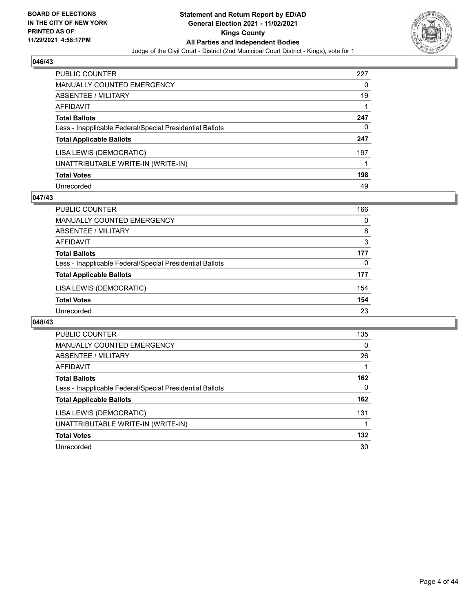

| <b>PUBLIC COUNTER</b>                                    | 227 |
|----------------------------------------------------------|-----|
| <b>MANUALLY COUNTED EMERGENCY</b>                        | 0   |
| ABSENTEE / MILITARY                                      | 19  |
| <b>AFFIDAVIT</b>                                         |     |
| <b>Total Ballots</b>                                     | 247 |
| Less - Inapplicable Federal/Special Presidential Ballots | 0   |
| <b>Total Applicable Ballots</b>                          | 247 |
| LISA LEWIS (DEMOCRATIC)                                  | 197 |
| UNATTRIBUTABLE WRITE-IN (WRITE-IN)                       |     |
| <b>Total Votes</b>                                       | 198 |
| Unrecorded                                               | 49  |

## **047/43**

| PUBLIC COUNTER                                           | 166      |
|----------------------------------------------------------|----------|
| <b>MANUALLY COUNTED EMERGENCY</b>                        | $\Omega$ |
| ABSENTEE / MILITARY                                      | 8        |
| AFFIDAVIT                                                | 3        |
| <b>Total Ballots</b>                                     | 177      |
| Less - Inapplicable Federal/Special Presidential Ballots | $\Omega$ |
| <b>Total Applicable Ballots</b>                          | 177      |
| LISA LEWIS (DEMOCRATIC)                                  | 154      |
| <b>Total Votes</b>                                       | 154      |
| Unrecorded                                               | 23       |

| <b>PUBLIC COUNTER</b>                                    | 135      |
|----------------------------------------------------------|----------|
| <b>MANUALLY COUNTED EMERGENCY</b>                        | $\Omega$ |
| ABSENTEE / MILITARY                                      | 26       |
| <b>AFFIDAVIT</b>                                         |          |
| <b>Total Ballots</b>                                     | 162      |
| Less - Inapplicable Federal/Special Presidential Ballots | $\Omega$ |
| <b>Total Applicable Ballots</b>                          | 162      |
| LISA LEWIS (DEMOCRATIC)                                  | 131      |
| UNATTRIBUTABLE WRITE-IN (WRITE-IN)                       |          |
| <b>Total Votes</b>                                       | 132      |
| Unrecorded                                               | 30       |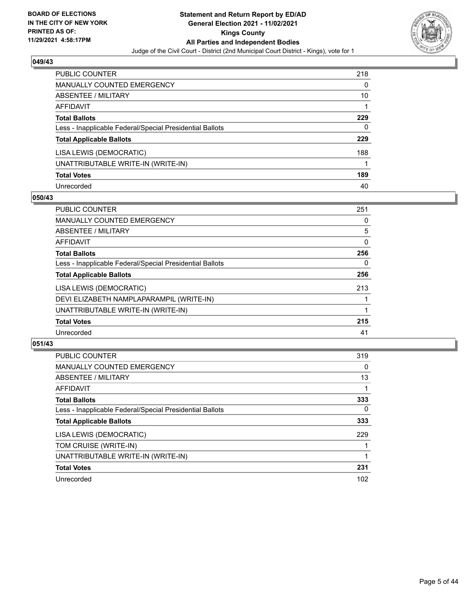

| PUBLIC COUNTER                                           | 218 |
|----------------------------------------------------------|-----|
| <b>MANUALLY COUNTED EMERGENCY</b>                        | 0   |
| ABSENTEE / MILITARY                                      | 10  |
| AFFIDAVIT                                                |     |
| <b>Total Ballots</b>                                     | 229 |
| Less - Inapplicable Federal/Special Presidential Ballots | 0   |
| <b>Total Applicable Ballots</b>                          | 229 |
| LISA LEWIS (DEMOCRATIC)                                  | 188 |
| UNATTRIBUTABLE WRITE-IN (WRITE-IN)                       |     |
| <b>Total Votes</b>                                       | 189 |
| Unrecorded                                               | 40  |

## **050/43**

| <b>PUBLIC COUNTER</b>                                    | 251      |
|----------------------------------------------------------|----------|
| <b>MANUALLY COUNTED EMERGENCY</b>                        | 0        |
| ABSENTEE / MILITARY                                      | 5        |
| <b>AFFIDAVIT</b>                                         | $\Omega$ |
| <b>Total Ballots</b>                                     | 256      |
| Less - Inapplicable Federal/Special Presidential Ballots | 0        |
| <b>Total Applicable Ballots</b>                          | 256      |
| LISA LEWIS (DEMOCRATIC)                                  | 213      |
| DEVI ELIZABETH NAMPLAPARAMPIL (WRITE-IN)                 |          |
| UNATTRIBUTABLE WRITE-IN (WRITE-IN)                       |          |
| <b>Total Votes</b>                                       | 215      |
| Unrecorded                                               | 41       |

| <b>PUBLIC COUNTER</b>                                    | 319      |
|----------------------------------------------------------|----------|
| <b>MANUALLY COUNTED EMERGENCY</b>                        | 0        |
| ABSENTEE / MILITARY                                      | 13       |
| AFFIDAVIT                                                |          |
| <b>Total Ballots</b>                                     | 333      |
| Less - Inapplicable Federal/Special Presidential Ballots | $\Omega$ |
| <b>Total Applicable Ballots</b>                          | 333      |
| LISA LEWIS (DEMOCRATIC)                                  | 229      |
| TOM CRUISE (WRITE-IN)                                    |          |
| UNATTRIBUTABLE WRITE-IN (WRITE-IN)                       |          |
| <b>Total Votes</b>                                       | 231      |
| Unrecorded                                               | 102      |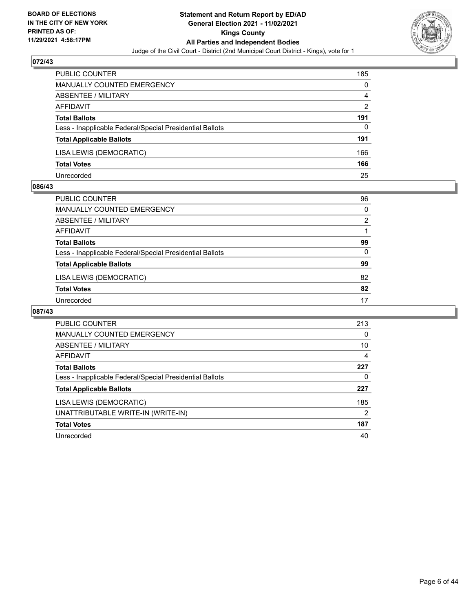

| <b>PUBLIC COUNTER</b>                                    | 185           |
|----------------------------------------------------------|---------------|
| <b>MANUALLY COUNTED EMERGENCY</b>                        | 0             |
| ABSENTEE / MILITARY                                      | 4             |
| AFFIDAVIT                                                | $\mathcal{P}$ |
| <b>Total Ballots</b>                                     | 191           |
| Less - Inapplicable Federal/Special Presidential Ballots | 0             |
| <b>Total Applicable Ballots</b>                          | 191           |
| LISA LEWIS (DEMOCRATIC)                                  | 166           |
| <b>Total Votes</b>                                       | 166           |
| Unrecorded                                               | 25            |

#### **086/43**

| PUBLIC COUNTER                                           | 96             |
|----------------------------------------------------------|----------------|
| <b>MANUALLY COUNTED EMERGENCY</b>                        | $\Omega$       |
| ABSENTEE / MILITARY                                      | $\overline{2}$ |
| AFFIDAVIT                                                |                |
| <b>Total Ballots</b>                                     | 99             |
| Less - Inapplicable Federal/Special Presidential Ballots | 0              |
| <b>Total Applicable Ballots</b>                          | 99             |
| LISA LEWIS (DEMOCRATIC)                                  | 82             |
| <b>Total Votes</b>                                       | 82             |
| Unrecorded                                               | 17             |

| <b>PUBLIC COUNTER</b>                                    | 213      |
|----------------------------------------------------------|----------|
| <b>MANUALLY COUNTED EMERGENCY</b>                        | $\Omega$ |
| ABSENTEE / MILITARY                                      | 10       |
| AFFIDAVIT                                                | 4        |
| <b>Total Ballots</b>                                     | 227      |
| Less - Inapplicable Federal/Special Presidential Ballots | 0        |
| <b>Total Applicable Ballots</b>                          | 227      |
| LISA LEWIS (DEMOCRATIC)                                  | 185      |
| UNATTRIBUTABLE WRITE-IN (WRITE-IN)                       | 2        |
| <b>Total Votes</b>                                       | 187      |
| Unrecorded                                               | 40       |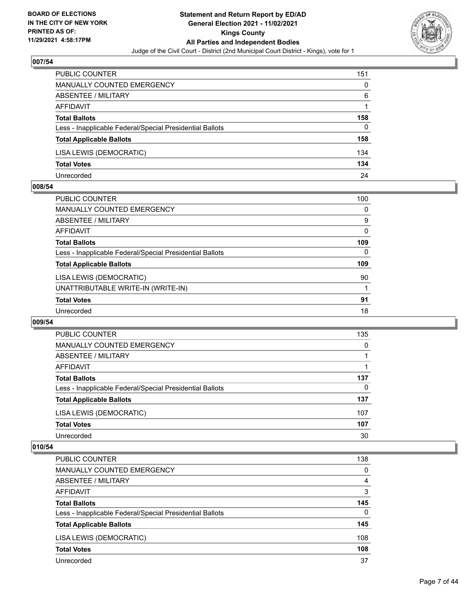

| PUBLIC COUNTER                                           | 151 |
|----------------------------------------------------------|-----|
| <b>MANUALLY COUNTED EMERGENCY</b>                        | 0   |
| ABSENTEE / MILITARY                                      | 6   |
| AFFIDAVIT                                                |     |
| <b>Total Ballots</b>                                     | 158 |
| Less - Inapplicable Federal/Special Presidential Ballots | 0   |
| <b>Total Applicable Ballots</b>                          | 158 |
| LISA LEWIS (DEMOCRATIC)                                  | 134 |
| <b>Total Votes</b>                                       | 134 |
| Unrecorded                                               | 24  |

#### **008/54**

| PUBLIC COUNTER                                           | 100 |
|----------------------------------------------------------|-----|
| <b>MANUALLY COUNTED EMERGENCY</b>                        | 0   |
| ABSENTEE / MILITARY                                      | 9   |
| AFFIDAVIT                                                | 0   |
| <b>Total Ballots</b>                                     | 109 |
| Less - Inapplicable Federal/Special Presidential Ballots | 0   |
| <b>Total Applicable Ballots</b>                          | 109 |
| LISA LEWIS (DEMOCRATIC)                                  | 90  |
| UNATTRIBUTABLE WRITE-IN (WRITE-IN)                       |     |
| <b>Total Votes</b>                                       | 91  |
| Unrecorded                                               | 18  |
|                                                          |     |

#### **009/54**

| PUBLIC COUNTER                                           | 135      |
|----------------------------------------------------------|----------|
| <b>MANUALLY COUNTED EMERGENCY</b>                        | $\Omega$ |
| ABSENTEE / MILITARY                                      |          |
| AFFIDAVIT                                                |          |
| <b>Total Ballots</b>                                     | 137      |
| Less - Inapplicable Federal/Special Presidential Ballots | $\Omega$ |
| <b>Total Applicable Ballots</b>                          | 137      |
| LISA LEWIS (DEMOCRATIC)                                  | 107      |
| <b>Total Votes</b>                                       | 107      |
| Unrecorded                                               | 30       |

| PUBLIC COUNTER                                           | 138      |
|----------------------------------------------------------|----------|
| <b>MANUALLY COUNTED EMERGENCY</b>                        | $\Omega$ |
| ABSENTEE / MILITARY                                      | 4        |
| <b>AFFIDAVIT</b>                                         | 3        |
| <b>Total Ballots</b>                                     | 145      |
| Less - Inapplicable Federal/Special Presidential Ballots | $\Omega$ |
| <b>Total Applicable Ballots</b>                          | 145      |
| LISA LEWIS (DEMOCRATIC)                                  | 108      |
| <b>Total Votes</b>                                       | 108      |
| Unrecorded                                               | 37       |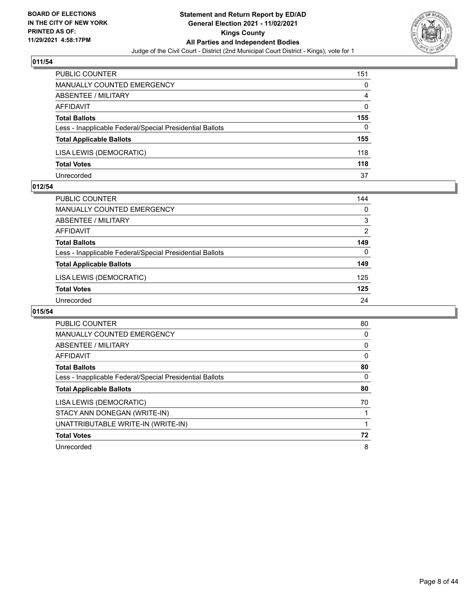

| <b>PUBLIC COUNTER</b>                                    | 151 |
|----------------------------------------------------------|-----|
| <b>MANUALLY COUNTED EMERGENCY</b>                        | 0   |
| ABSENTEE / MILITARY                                      | 4   |
| AFFIDAVIT                                                | 0   |
| <b>Total Ballots</b>                                     | 155 |
| Less - Inapplicable Federal/Special Presidential Ballots | 0   |
| <b>Total Applicable Ballots</b>                          | 155 |
| LISA LEWIS (DEMOCRATIC)                                  | 118 |
| <b>Total Votes</b>                                       | 118 |
| Unrecorded                                               | 37  |

#### **012/54**

| PUBLIC COUNTER                                           | 144            |
|----------------------------------------------------------|----------------|
| <b>MANUALLY COUNTED EMERGENCY</b>                        | $\Omega$       |
| ABSENTEE / MILITARY                                      | 3              |
| AFFIDAVIT                                                | $\overline{2}$ |
| <b>Total Ballots</b>                                     | 149            |
| Less - Inapplicable Federal/Special Presidential Ballots | $\Omega$       |
| <b>Total Applicable Ballots</b>                          | 149            |
| LISA LEWIS (DEMOCRATIC)                                  | 125            |
| <b>Total Votes</b>                                       | 125            |
| Unrecorded                                               | 24             |
|                                                          |                |

| <b>PUBLIC COUNTER</b>                                    | 80 |
|----------------------------------------------------------|----|
| <b>MANUALLY COUNTED EMERGENCY</b>                        | 0  |
| ABSENTEE / MILITARY                                      | 0  |
| AFFIDAVIT                                                | 0  |
| <b>Total Ballots</b>                                     | 80 |
| Less - Inapplicable Federal/Special Presidential Ballots | 0  |
| <b>Total Applicable Ballots</b>                          | 80 |
| LISA LEWIS (DEMOCRATIC)                                  | 70 |
| STACY ANN DONEGAN (WRITE-IN)                             |    |
| UNATTRIBUTABLE WRITE-IN (WRITE-IN)                       |    |
| <b>Total Votes</b>                                       | 72 |
| Unrecorded                                               | 8  |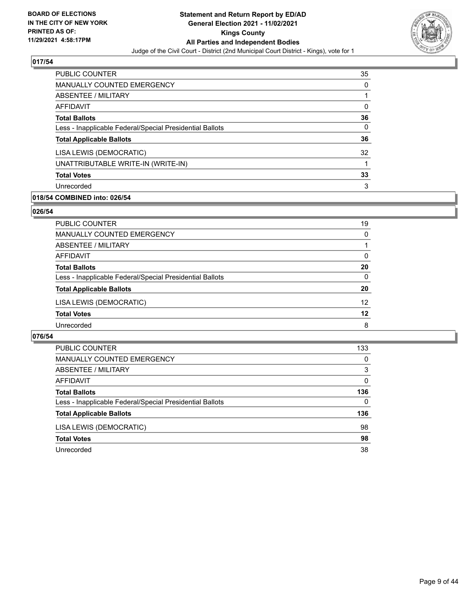

| PUBLIC COUNTER                                           | 35 |
|----------------------------------------------------------|----|
| <b>MANUALLY COUNTED EMERGENCY</b>                        | 0  |
| ABSENTEE / MILITARY                                      |    |
| AFFIDAVIT                                                | 0  |
| <b>Total Ballots</b>                                     | 36 |
| Less - Inapplicable Federal/Special Presidential Ballots | 0  |
| <b>Total Applicable Ballots</b>                          | 36 |
| LISA LEWIS (DEMOCRATIC)                                  | 32 |
| UNATTRIBUTABLE WRITE-IN (WRITE-IN)                       |    |
| <b>Total Votes</b>                                       | 33 |
| Unrecorded                                               | 3  |

# **018/54 COMBINED into: 026/54**

#### **026/54**

| PUBLIC COUNTER                                           | 19              |
|----------------------------------------------------------|-----------------|
| <b>MANUALLY COUNTED EMERGENCY</b>                        | $\Omega$        |
| <b>ABSENTEE / MILITARY</b>                               |                 |
| AFFIDAVIT                                                | $\Omega$        |
| <b>Total Ballots</b>                                     | 20              |
| Less - Inapplicable Federal/Special Presidential Ballots | $\Omega$        |
| <b>Total Applicable Ballots</b>                          | 20              |
| LISA LEWIS (DEMOCRATIC)                                  | 12 <sup>2</sup> |
| <b>Total Votes</b>                                       | 12              |
| Unrecorded                                               | 8               |
|                                                          |                 |

| PUBLIC COUNTER                                           | 133      |
|----------------------------------------------------------|----------|
| MANUALLY COUNTED EMERGENCY                               | $\Omega$ |
| ABSENTEE / MILITARY                                      | 3        |
| AFFIDAVIT                                                | $\Omega$ |
| <b>Total Ballots</b>                                     | 136      |
| Less - Inapplicable Federal/Special Presidential Ballots | 0        |
| <b>Total Applicable Ballots</b>                          | 136      |
| LISA LEWIS (DEMOCRATIC)                                  | 98       |
| <b>Total Votes</b>                                       | 98       |
| Unrecorded                                               | 38       |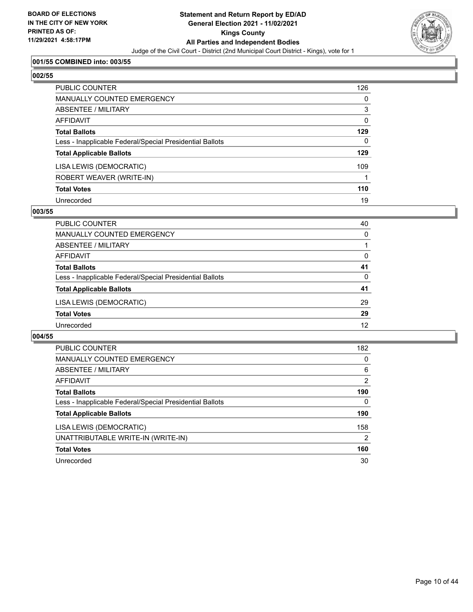

# **001/55 COMBINED into: 003/55**

# **002/55**

| PUBLIC COUNTER                                           | 126      |
|----------------------------------------------------------|----------|
| <b>MANUALLY COUNTED EMERGENCY</b>                        | 0        |
| <b>ABSENTEE / MILITARY</b>                               | 3        |
| <b>AFFIDAVIT</b>                                         | $\Omega$ |
| <b>Total Ballots</b>                                     | 129      |
| Less - Inapplicable Federal/Special Presidential Ballots | $\Omega$ |
| <b>Total Applicable Ballots</b>                          | 129      |
| LISA LEWIS (DEMOCRATIC)                                  | 109      |
| ROBERT WEAVER (WRITE-IN)                                 |          |
| <b>Total Votes</b>                                       | 110      |
| Unrecorded                                               | 19       |

## **003/55**

| PUBLIC COUNTER                                           | 40       |
|----------------------------------------------------------|----------|
| <b>MANUALLY COUNTED EMERGENCY</b>                        | $\Omega$ |
| ABSENTEE / MILITARY                                      |          |
| AFFIDAVIT                                                | 0        |
| <b>Total Ballots</b>                                     | 41       |
| Less - Inapplicable Federal/Special Presidential Ballots | 0        |
| <b>Total Applicable Ballots</b>                          | 41       |
| LISA LEWIS (DEMOCRATIC)                                  | 29       |
| <b>Total Votes</b>                                       | 29       |
| Unrecorded                                               | 12       |

| PUBLIC COUNTER                                           | 182 |
|----------------------------------------------------------|-----|
| <b>MANUALLY COUNTED EMERGENCY</b>                        | 0   |
| ABSENTEE / MILITARY                                      | 6   |
| AFFIDAVIT                                                | 2   |
| <b>Total Ballots</b>                                     | 190 |
| Less - Inapplicable Federal/Special Presidential Ballots | 0   |
| <b>Total Applicable Ballots</b>                          | 190 |
| LISA LEWIS (DEMOCRATIC)                                  | 158 |
| UNATTRIBUTABLE WRITE-IN (WRITE-IN)                       | 2   |
| <b>Total Votes</b>                                       | 160 |
| Unrecorded                                               | 30  |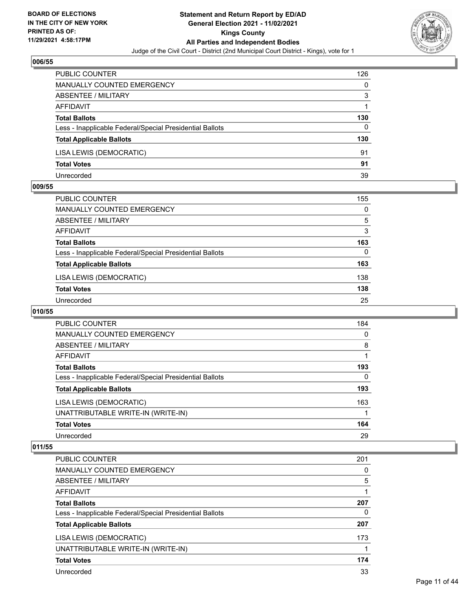

| PUBLIC COUNTER                                           | 126 |
|----------------------------------------------------------|-----|
| MANUALLY COUNTED EMERGENCY                               | 0   |
| <b>ABSENTEE / MILITARY</b>                               | 3   |
| AFFIDAVIT                                                |     |
| <b>Total Ballots</b>                                     | 130 |
| Less - Inapplicable Federal/Special Presidential Ballots | 0   |
| <b>Total Applicable Ballots</b>                          | 130 |
| LISA LEWIS (DEMOCRATIC)                                  | 91  |
| <b>Total Votes</b>                                       | 91  |
| Unrecorded                                               | 39  |

#### **009/55**

| <b>PUBLIC COUNTER</b>                                    | 155      |
|----------------------------------------------------------|----------|
| MANUALLY COUNTED EMERGENCY                               | $\Omega$ |
| ABSENTEE / MILITARY                                      | 5        |
| AFFIDAVIT                                                | 3        |
| <b>Total Ballots</b>                                     | 163      |
| Less - Inapplicable Federal/Special Presidential Ballots | $\Omega$ |
| <b>Total Applicable Ballots</b>                          | 163      |
| LISA LEWIS (DEMOCRATIC)                                  | 138      |
| <b>Total Votes</b>                                       | 138      |
| Unrecorded                                               | 25       |
|                                                          |          |

# **010/55**

| <b>PUBLIC COUNTER</b>                                    | 184      |
|----------------------------------------------------------|----------|
| <b>MANUALLY COUNTED EMERGENCY</b>                        | 0        |
| ABSENTEE / MILITARY                                      | 8        |
| AFFIDAVIT                                                |          |
| <b>Total Ballots</b>                                     | 193      |
| Less - Inapplicable Federal/Special Presidential Ballots | $\Omega$ |
| <b>Total Applicable Ballots</b>                          | 193      |
| LISA LEWIS (DEMOCRATIC)                                  | 163      |
| UNATTRIBUTABLE WRITE-IN (WRITE-IN)                       |          |
| <b>Total Votes</b>                                       | 164      |
| Unrecorded                                               | 29       |

| PUBLIC COUNTER                                           | 201 |
|----------------------------------------------------------|-----|
| <b>MANUALLY COUNTED EMERGENCY</b>                        | 0   |
| ABSENTEE / MILITARY                                      | 5   |
| AFFIDAVIT                                                |     |
| <b>Total Ballots</b>                                     | 207 |
| Less - Inapplicable Federal/Special Presidential Ballots | 0   |
| <b>Total Applicable Ballots</b>                          | 207 |
| LISA LEWIS (DEMOCRATIC)                                  | 173 |
| UNATTRIBUTABLE WRITE-IN (WRITE-IN)                       |     |
| <b>Total Votes</b>                                       | 174 |
| Unrecorded                                               | 33  |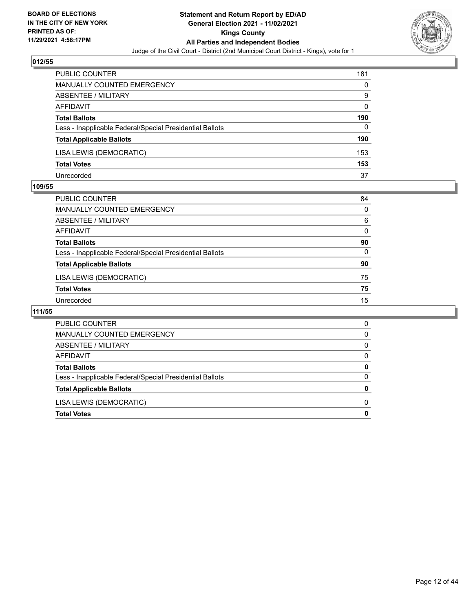

| <b>PUBLIC COUNTER</b>                                    | 181 |
|----------------------------------------------------------|-----|
| <b>MANUALLY COUNTED EMERGENCY</b>                        | 0   |
| ABSENTEE / MILITARY                                      | 9   |
| AFFIDAVIT                                                | 0   |
| <b>Total Ballots</b>                                     | 190 |
| Less - Inapplicable Federal/Special Presidential Ballots | 0   |
| <b>Total Applicable Ballots</b>                          | 190 |
| LISA LEWIS (DEMOCRATIC)                                  | 153 |
| <b>Total Votes</b>                                       | 153 |
| Unrecorded                                               | 37  |

#### **109/55**

| PUBLIC COUNTER                                           | 84       |
|----------------------------------------------------------|----------|
| <b>MANUALLY COUNTED EMERGENCY</b>                        | 0        |
| <b>ABSENTEE / MILITARY</b>                               | 6        |
| <b>AFFIDAVIT</b>                                         | 0        |
| <b>Total Ballots</b>                                     | 90       |
| Less - Inapplicable Federal/Special Presidential Ballots | $\Omega$ |
| <b>Total Applicable Ballots</b>                          | 90       |
| LISA LEWIS (DEMOCRATIC)                                  | 75       |
| <b>Total Votes</b>                                       | 75       |
| Unrecorded                                               | 15       |

| MANUALLY COUNTED EMERGENCY                               | 0 |
|----------------------------------------------------------|---|
| ABSENTEE / MILITARY                                      | 0 |
| AFFIDAVIT                                                | 0 |
| <b>Total Ballots</b>                                     | 0 |
| Less - Inapplicable Federal/Special Presidential Ballots | 0 |
| <b>Total Applicable Ballots</b>                          | 0 |
| LISA LEWIS (DEMOCRATIC)                                  | 0 |
| <b>Total Votes</b>                                       | 0 |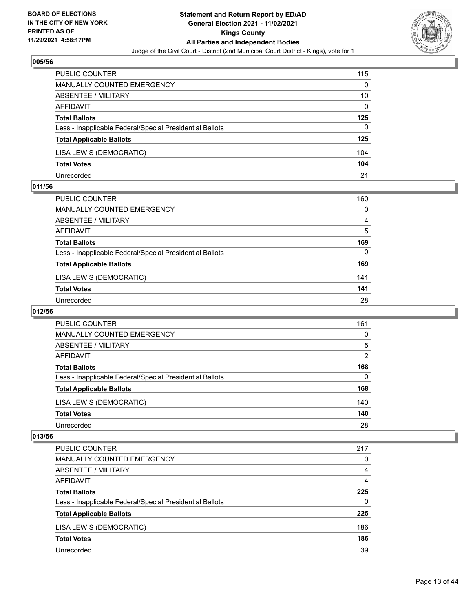

| PUBLIC COUNTER                                           | 115      |
|----------------------------------------------------------|----------|
| MANUALLY COUNTED EMERGENCY                               | 0        |
| <b>ABSENTEE / MILITARY</b>                               | 10       |
| AFFIDAVIT                                                | $\Omega$ |
| <b>Total Ballots</b>                                     | 125      |
| Less - Inapplicable Federal/Special Presidential Ballots | 0        |
| <b>Total Applicable Ballots</b>                          | 125      |
| LISA LEWIS (DEMOCRATIC)                                  | 104      |
| <b>Total Votes</b>                                       | 104      |
| Unrecorded                                               | 21       |

#### **011/56**

| <b>PUBLIC COUNTER</b>                                    | 160 |
|----------------------------------------------------------|-----|
| <b>MANUALLY COUNTED EMERGENCY</b>                        | 0   |
| ABSENTEE / MILITARY                                      | 4   |
| AFFIDAVIT                                                | 5   |
| <b>Total Ballots</b>                                     | 169 |
| Less - Inapplicable Federal/Special Presidential Ballots | 0   |
| <b>Total Applicable Ballots</b>                          | 169 |
| LISA LEWIS (DEMOCRATIC)                                  | 141 |
| <b>Total Votes</b>                                       | 141 |
| Unrecorded                                               | 28  |

# **012/56**

| PUBLIC COUNTER                                           | 161 |
|----------------------------------------------------------|-----|
| <b>MANUALLY COUNTED EMERGENCY</b>                        | 0   |
| ABSENTEE / MILITARY                                      | 5   |
| AFFIDAVIT                                                | 2   |
| <b>Total Ballots</b>                                     | 168 |
| Less - Inapplicable Federal/Special Presidential Ballots | 0   |
| <b>Total Applicable Ballots</b>                          | 168 |
| LISA LEWIS (DEMOCRATIC)                                  | 140 |
| <b>Total Votes</b>                                       | 140 |
| Unrecorded                                               | 28  |

| PUBLIC COUNTER                                           | 217 |
|----------------------------------------------------------|-----|
| <b>MANUALLY COUNTED EMERGENCY</b>                        | 0   |
| ABSENTEE / MILITARY                                      | 4   |
| AFFIDAVIT                                                | 4   |
| <b>Total Ballots</b>                                     | 225 |
| Less - Inapplicable Federal/Special Presidential Ballots | 0   |
| <b>Total Applicable Ballots</b>                          | 225 |
| LISA LEWIS (DEMOCRATIC)                                  | 186 |
| <b>Total Votes</b>                                       | 186 |
| Unrecorded                                               | 39  |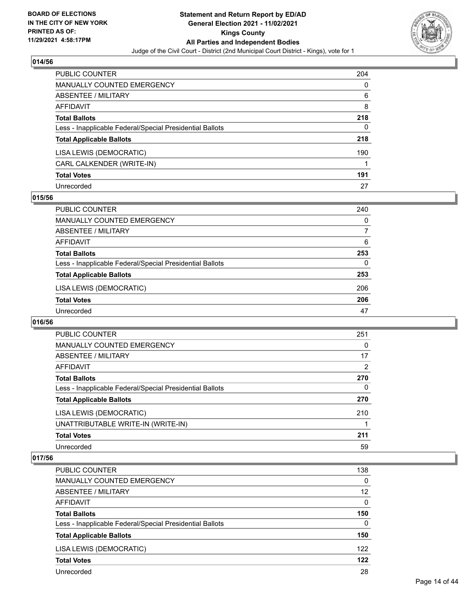

| PUBLIC COUNTER                                           | 204 |
|----------------------------------------------------------|-----|
| <b>MANUALLY COUNTED EMERGENCY</b>                        | 0   |
| <b>ABSENTEE / MILITARY</b>                               | 6   |
| <b>AFFIDAVIT</b>                                         | 8   |
| <b>Total Ballots</b>                                     | 218 |
| Less - Inapplicable Federal/Special Presidential Ballots | 0   |
| <b>Total Applicable Ballots</b>                          | 218 |
| LISA LEWIS (DEMOCRATIC)                                  | 190 |
| CARL CALKENDER (WRITE-IN)                                |     |
| <b>Total Votes</b>                                       | 191 |
| Unrecorded                                               | 27  |

## **015/56**

| <b>PUBLIC COUNTER</b>                                    | 240      |
|----------------------------------------------------------|----------|
| <b>MANUALLY COUNTED EMERGENCY</b>                        | $\Omega$ |
| ABSENTEE / MILITARY                                      | 7        |
| AFFIDAVIT                                                | 6        |
| <b>Total Ballots</b>                                     | 253      |
| Less - Inapplicable Federal/Special Presidential Ballots | 0        |
| <b>Total Applicable Ballots</b>                          | 253      |
| LISA LEWIS (DEMOCRATIC)                                  | 206      |
| <b>Total Votes</b>                                       | 206      |
| Unrecorded                                               | 47       |

#### **016/56**

| <b>PUBLIC COUNTER</b>                                    | 251 |
|----------------------------------------------------------|-----|
| <b>MANUALLY COUNTED EMERGENCY</b>                        | 0   |
| ABSENTEE / MILITARY                                      | 17  |
| <b>AFFIDAVIT</b>                                         | 2   |
| <b>Total Ballots</b>                                     | 270 |
| Less - Inapplicable Federal/Special Presidential Ballots | 0   |
| <b>Total Applicable Ballots</b>                          | 270 |
| LISA LEWIS (DEMOCRATIC)                                  | 210 |
| UNATTRIBUTABLE WRITE-IN (WRITE-IN)                       |     |
| <b>Total Votes</b>                                       | 211 |
| Unrecorded                                               | 59  |

| PUBLIC COUNTER                                           | 138      |
|----------------------------------------------------------|----------|
| <b>MANUALLY COUNTED EMERGENCY</b>                        | $\Omega$ |
| ABSENTEE / MILITARY                                      | 12       |
| AFFIDAVIT                                                | $\Omega$ |
| <b>Total Ballots</b>                                     | 150      |
| Less - Inapplicable Federal/Special Presidential Ballots | $\Omega$ |
| <b>Total Applicable Ballots</b>                          | 150      |
| LISA LEWIS (DEMOCRATIC)                                  | 122      |
| <b>Total Votes</b>                                       | 122      |
| Unrecorded                                               | 28       |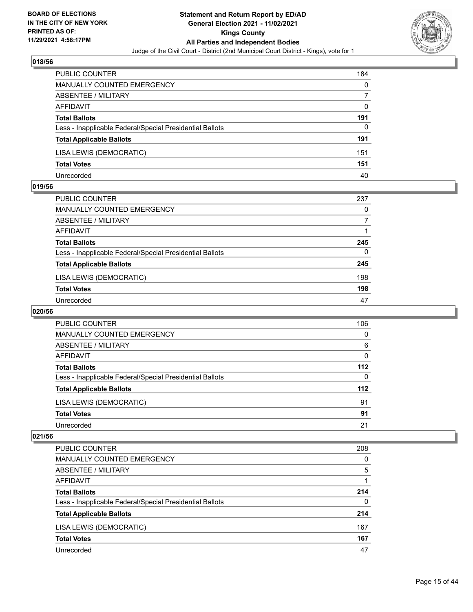

| PUBLIC COUNTER                                           | 184 |
|----------------------------------------------------------|-----|
| MANUALLY COUNTED EMERGENCY                               | 0   |
| ABSENTEE / MILITARY                                      |     |
| AFFIDAVIT                                                | 0   |
| <b>Total Ballots</b>                                     | 191 |
| Less - Inapplicable Federal/Special Presidential Ballots | 0   |
| <b>Total Applicable Ballots</b>                          | 191 |
| LISA LEWIS (DEMOCRATIC)                                  | 151 |
| <b>Total Votes</b>                                       | 151 |
| Unrecorded                                               | 40  |

#### **019/56**

| <b>PUBLIC COUNTER</b>                                    | 237      |
|----------------------------------------------------------|----------|
| MANUALLY COUNTED EMERGENCY                               | 0        |
| ABSENTEE / MILITARY                                      |          |
| AFFIDAVIT                                                |          |
| <b>Total Ballots</b>                                     | 245      |
| Less - Inapplicable Federal/Special Presidential Ballots | $\Omega$ |
| <b>Total Applicable Ballots</b>                          | 245      |
| LISA LEWIS (DEMOCRATIC)                                  | 198      |
| <b>Total Votes</b>                                       | 198      |
| Unrecorded                                               | 47       |
|                                                          |          |

# **020/56**

| PUBLIC COUNTER                                           | 106   |
|----------------------------------------------------------|-------|
| <b>MANUALLY COUNTED EMERGENCY</b>                        | 0     |
| ABSENTEE / MILITARY                                      | 6     |
| AFFIDAVIT                                                | 0     |
| <b>Total Ballots</b>                                     | $112$ |
| Less - Inapplicable Federal/Special Presidential Ballots | 0     |
| <b>Total Applicable Ballots</b>                          | 112   |
| LISA LEWIS (DEMOCRATIC)                                  | 91    |
| <b>Total Votes</b>                                       | 91    |
| Unrecorded                                               | 21    |

| PUBLIC COUNTER                                           | 208 |
|----------------------------------------------------------|-----|
| MANUALLY COUNTED EMERGENCY                               | 0   |
| ABSENTEE / MILITARY                                      | 5   |
| AFFIDAVIT                                                |     |
| <b>Total Ballots</b>                                     | 214 |
| Less - Inapplicable Federal/Special Presidential Ballots | 0   |
| <b>Total Applicable Ballots</b>                          | 214 |
| LISA LEWIS (DEMOCRATIC)                                  | 167 |
| <b>Total Votes</b>                                       | 167 |
| Unrecorded                                               | 47  |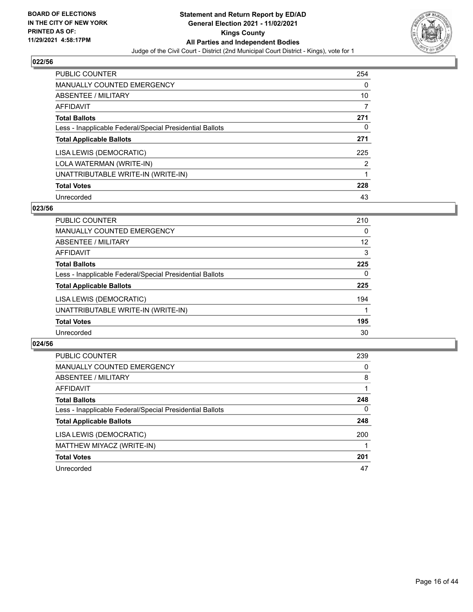

| <b>PUBLIC COUNTER</b>                                    | 254      |
|----------------------------------------------------------|----------|
| <b>MANUALLY COUNTED EMERGENCY</b>                        | $\Omega$ |
| ABSENTEE / MILITARY                                      | 10       |
| <b>AFFIDAVIT</b>                                         | 7        |
| <b>Total Ballots</b>                                     | 271      |
| Less - Inapplicable Federal/Special Presidential Ballots | 0        |
| <b>Total Applicable Ballots</b>                          | 271      |
| LISA LEWIS (DEMOCRATIC)                                  | 225      |
| LOLA WATERMAN (WRITE-IN)                                 | 2        |
| UNATTRIBUTABLE WRITE-IN (WRITE-IN)                       | 1        |
| <b>Total Votes</b>                                       | 228      |
| Unrecorded                                               | 43       |

#### **023/56**

| <b>PUBLIC COUNTER</b>                                    | 210      |
|----------------------------------------------------------|----------|
| <b>MANUALLY COUNTED EMERGENCY</b>                        | $\Omega$ |
| ABSENTEE / MILITARY                                      | 12       |
| <b>AFFIDAVIT</b>                                         | 3        |
| <b>Total Ballots</b>                                     | 225      |
| Less - Inapplicable Federal/Special Presidential Ballots | $\Omega$ |
| <b>Total Applicable Ballots</b>                          | 225      |
| LISA LEWIS (DEMOCRATIC)                                  | 194      |
| UNATTRIBUTABLE WRITE-IN (WRITE-IN)                       |          |
| <b>Total Votes</b>                                       | 195      |
| Unrecorded                                               | 30       |

| <b>PUBLIC COUNTER</b>                                    | 239      |
|----------------------------------------------------------|----------|
| <b>MANUALLY COUNTED EMERGENCY</b>                        | 0        |
| ABSENTEE / MILITARY                                      | 8        |
| AFFIDAVIT                                                |          |
| <b>Total Ballots</b>                                     | 248      |
| Less - Inapplicable Federal/Special Presidential Ballots | $\Omega$ |
| <b>Total Applicable Ballots</b>                          | 248      |
| LISA LEWIS (DEMOCRATIC)                                  | 200      |
| MATTHEW MIYACZ (WRITE-IN)                                |          |
| <b>Total Votes</b>                                       | 201      |
| Unrecorded                                               | 47       |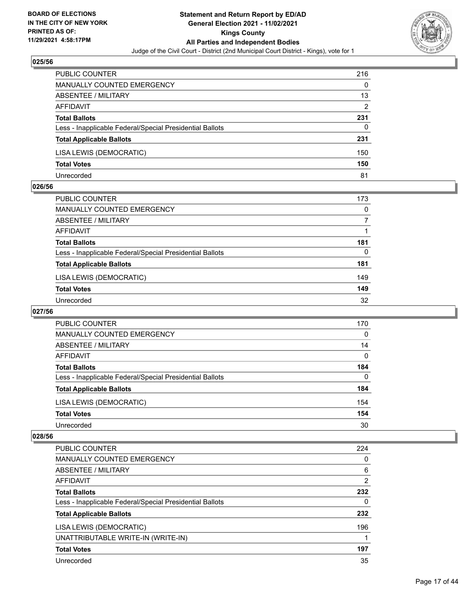

| <b>PUBLIC COUNTER</b>                                    | 216 |
|----------------------------------------------------------|-----|
| MANUALLY COUNTED EMERGENCY                               | 0   |
| ABSENTEE / MILITARY                                      | 13  |
| AFFIDAVIT                                                | 2   |
| <b>Total Ballots</b>                                     | 231 |
| Less - Inapplicable Federal/Special Presidential Ballots | 0   |
| <b>Total Applicable Ballots</b>                          | 231 |
| LISA LEWIS (DEMOCRATIC)                                  | 150 |
| <b>Total Votes</b>                                       | 150 |
| Unrecorded                                               | 81  |

#### **026/56**

| PUBLIC COUNTER                                           | 173      |
|----------------------------------------------------------|----------|
| <b>MANUALLY COUNTED EMERGENCY</b>                        | $\Omega$ |
| ABSENTEE / MILITARY                                      |          |
| AFFIDAVIT                                                |          |
| <b>Total Ballots</b>                                     | 181      |
| Less - Inapplicable Federal/Special Presidential Ballots | 0        |
| <b>Total Applicable Ballots</b>                          | 181      |
| LISA LEWIS (DEMOCRATIC)                                  | 149      |
| <b>Total Votes</b>                                       | 149      |
| Unrecorded                                               | 32       |

# **027/56**

| PUBLIC COUNTER                                           | 170      |
|----------------------------------------------------------|----------|
| MANUALLY COUNTED EMERGENCY                               | $\Omega$ |
| ABSENTEE / MILITARY                                      | 14       |
| AFFIDAVIT                                                | $\Omega$ |
| <b>Total Ballots</b>                                     | 184      |
| Less - Inapplicable Federal/Special Presidential Ballots | 0        |
| <b>Total Applicable Ballots</b>                          | 184      |
| LISA LEWIS (DEMOCRATIC)                                  | 154      |
| <b>Total Votes</b>                                       | 154      |
| Unrecorded                                               | 30       |

| PUBLIC COUNTER                                           | 224            |
|----------------------------------------------------------|----------------|
| <b>MANUALLY COUNTED EMERGENCY</b>                        | 0              |
| ABSENTEE / MILITARY                                      | 6              |
| AFFIDAVIT                                                | $\overline{2}$ |
| <b>Total Ballots</b>                                     | 232            |
| Less - Inapplicable Federal/Special Presidential Ballots | 0              |
| <b>Total Applicable Ballots</b>                          | 232            |
| LISA LEWIS (DEMOCRATIC)                                  | 196            |
| UNATTRIBUTABLE WRITE-IN (WRITE-IN)                       | 1              |
| <b>Total Votes</b>                                       | 197            |
| Unrecorded                                               | 35             |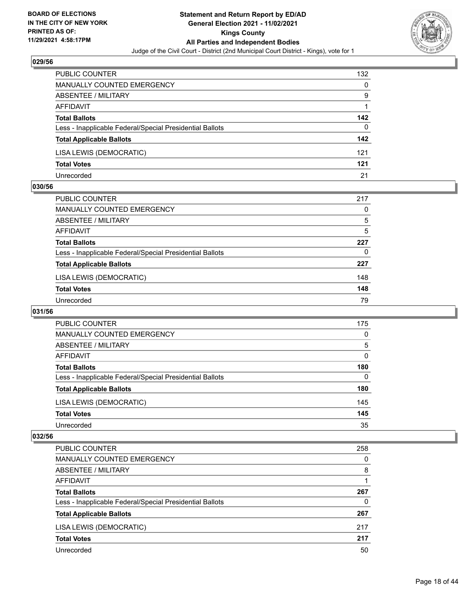

| PUBLIC COUNTER                                           | 132 |
|----------------------------------------------------------|-----|
| MANUALLY COUNTED EMERGENCY                               | 0   |
| ABSENTEE / MILITARY                                      | 9   |
| AFFIDAVIT                                                |     |
| <b>Total Ballots</b>                                     | 142 |
| Less - Inapplicable Federal/Special Presidential Ballots | 0   |
| <b>Total Applicable Ballots</b>                          | 142 |
| LISA LEWIS (DEMOCRATIC)                                  | 121 |
| <b>Total Votes</b>                                       | 121 |
| Unrecorded                                               | 21  |

#### **030/56**

| PUBLIC COUNTER                                           | 217 |
|----------------------------------------------------------|-----|
| MANUALLY COUNTED EMERGENCY                               | 0   |
| ABSENTEE / MILITARY                                      | 5   |
| AFFIDAVIT                                                | 5   |
| <b>Total Ballots</b>                                     | 227 |
| Less - Inapplicable Federal/Special Presidential Ballots | 0   |
| <b>Total Applicable Ballots</b>                          | 227 |
| LISA LEWIS (DEMOCRATIC)                                  | 148 |
| <b>Total Votes</b>                                       | 148 |
| Unrecorded                                               | 79  |
|                                                          |     |

# **031/56**

| PUBLIC COUNTER                                           | 175      |
|----------------------------------------------------------|----------|
| <b>MANUALLY COUNTED EMERGENCY</b>                        | $\Omega$ |
| ABSENTEE / MILITARY                                      | 5        |
| AFFIDAVIT                                                | $\Omega$ |
| <b>Total Ballots</b>                                     | 180      |
| Less - Inapplicable Federal/Special Presidential Ballots | 0        |
| <b>Total Applicable Ballots</b>                          | 180      |
| LISA LEWIS (DEMOCRATIC)                                  | 145      |
| <b>Total Votes</b>                                       | 145      |
| Unrecorded                                               | 35       |

| PUBLIC COUNTER                                           | 258 |
|----------------------------------------------------------|-----|
| MANUALLY COUNTED EMERGENCY                               | 0   |
| ABSENTEE / MILITARY                                      | 8   |
| AFFIDAVIT                                                |     |
| <b>Total Ballots</b>                                     | 267 |
| Less - Inapplicable Federal/Special Presidential Ballots | 0   |
| <b>Total Applicable Ballots</b>                          | 267 |
| LISA LEWIS (DEMOCRATIC)                                  | 217 |
| <b>Total Votes</b>                                       | 217 |
| Unrecorded                                               | 50  |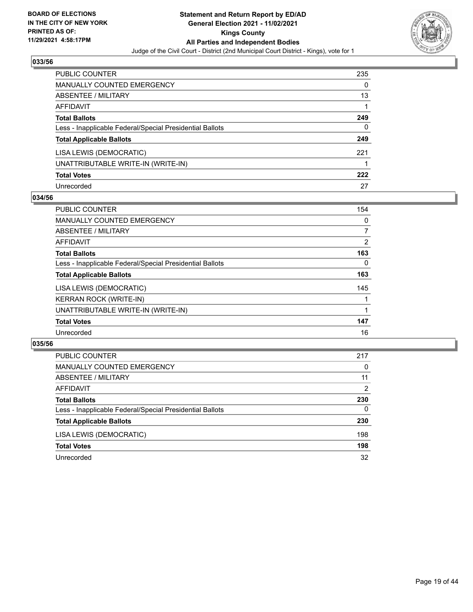

| <b>PUBLIC COUNTER</b>                                    | 235 |
|----------------------------------------------------------|-----|
| <b>MANUALLY COUNTED EMERGENCY</b>                        | 0   |
| ABSENTEE / MILITARY                                      | 13  |
| AFFIDAVIT                                                |     |
| <b>Total Ballots</b>                                     | 249 |
| Less - Inapplicable Federal/Special Presidential Ballots | 0   |
| <b>Total Applicable Ballots</b>                          | 249 |
| LISA LEWIS (DEMOCRATIC)                                  | 221 |
| UNATTRIBUTABLE WRITE-IN (WRITE-IN)                       |     |
| <b>Total Votes</b>                                       | 222 |
| Unrecorded                                               | 27  |

## **034/56**

| <b>PUBLIC COUNTER</b>                                    | 154            |
|----------------------------------------------------------|----------------|
| MANUALLY COUNTED EMERGENCY                               | $\Omega$       |
| ABSENTEE / MILITARY                                      | 7              |
| <b>AFFIDAVIT</b>                                         | $\overline{2}$ |
| <b>Total Ballots</b>                                     | 163            |
| Less - Inapplicable Federal/Special Presidential Ballots | $\Omega$       |
| <b>Total Applicable Ballots</b>                          | 163            |
| LISA LEWIS (DEMOCRATIC)                                  | 145            |
| <b>KERRAN ROCK (WRITE-IN)</b>                            |                |
| UNATTRIBUTABLE WRITE-IN (WRITE-IN)                       |                |
| <b>Total Votes</b>                                       | 147            |
| Unrecorded                                               | 16             |

| PUBLIC COUNTER                                           | 217      |
|----------------------------------------------------------|----------|
| MANUALLY COUNTED EMERGENCY                               | $\Omega$ |
| ABSENTEE / MILITARY                                      | 11       |
| AFFIDAVIT                                                | 2        |
| <b>Total Ballots</b>                                     | 230      |
| Less - Inapplicable Federal/Special Presidential Ballots | $\Omega$ |
| <b>Total Applicable Ballots</b>                          | 230      |
| LISA LEWIS (DEMOCRATIC)                                  | 198      |
| <b>Total Votes</b>                                       | 198      |
| Unrecorded                                               | 32       |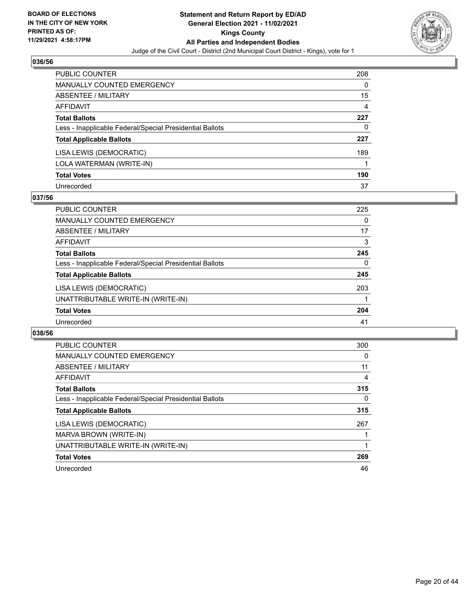

| <b>PUBLIC COUNTER</b>                                    | 208 |
|----------------------------------------------------------|-----|
| <b>MANUALLY COUNTED EMERGENCY</b>                        | 0   |
| <b>ABSENTEE / MILITARY</b>                               | 15  |
| AFFIDAVIT                                                | 4   |
| <b>Total Ballots</b>                                     | 227 |
| Less - Inapplicable Federal/Special Presidential Ballots | 0   |
| <b>Total Applicable Ballots</b>                          | 227 |
| LISA LEWIS (DEMOCRATIC)                                  | 189 |
| LOLA WATERMAN (WRITE-IN)                                 |     |
| <b>Total Votes</b>                                       | 190 |
| Unrecorded                                               | 37  |

## **037/56**

| <b>PUBLIC COUNTER</b>                                    | 225      |
|----------------------------------------------------------|----------|
| <b>MANUALLY COUNTED EMERGENCY</b>                        | 0        |
| ABSENTEE / MILITARY                                      | 17       |
| AFFIDAVIT                                                | 3        |
| <b>Total Ballots</b>                                     | 245      |
| Less - Inapplicable Federal/Special Presidential Ballots | $\Omega$ |
| <b>Total Applicable Ballots</b>                          | 245      |
| LISA LEWIS (DEMOCRATIC)                                  | 203      |
| UNATTRIBUTABLE WRITE-IN (WRITE-IN)                       |          |
| <b>Total Votes</b>                                       | 204      |
| Unrecorded                                               | 41       |

| <b>PUBLIC COUNTER</b>                                    | 300 |
|----------------------------------------------------------|-----|
| <b>MANUALLY COUNTED EMERGENCY</b>                        | 0   |
| ABSENTEE / MILITARY                                      | 11  |
| AFFIDAVIT                                                | 4   |
| <b>Total Ballots</b>                                     | 315 |
| Less - Inapplicable Federal/Special Presidential Ballots | 0   |
| <b>Total Applicable Ballots</b>                          | 315 |
| LISA LEWIS (DEMOCRATIC)                                  | 267 |
| MARVA BROWN (WRITE-IN)                                   |     |
| UNATTRIBUTABLE WRITE-IN (WRITE-IN)                       |     |
| <b>Total Votes</b>                                       | 269 |
| Unrecorded                                               | 46  |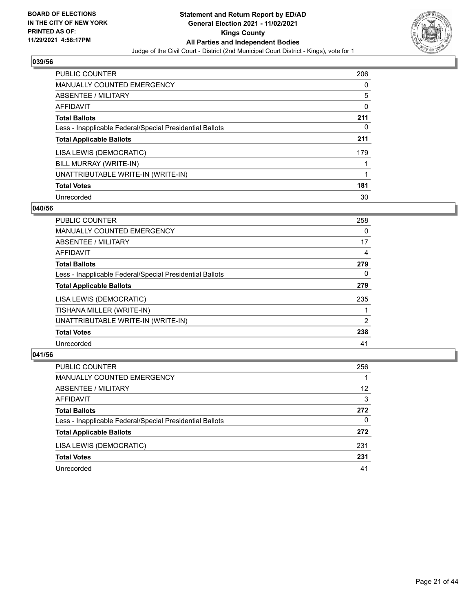

| <b>PUBLIC COUNTER</b>                                    | 206      |
|----------------------------------------------------------|----------|
| <b>MANUALLY COUNTED EMERGENCY</b>                        | $\Omega$ |
| ABSENTEE / MILITARY                                      | 5        |
| AFFIDAVIT                                                | 0        |
| <b>Total Ballots</b>                                     | 211      |
| Less - Inapplicable Federal/Special Presidential Ballots | 0        |
| <b>Total Applicable Ballots</b>                          | 211      |
| LISA LEWIS (DEMOCRATIC)                                  | 179      |
| BILL MURRAY (WRITE-IN)                                   |          |
| UNATTRIBUTABLE WRITE-IN (WRITE-IN)                       |          |
| <b>Total Votes</b>                                       | 181      |
| Unrecorded                                               | 30       |

## **040/56**

| <b>PUBLIC COUNTER</b>                                    | 258      |
|----------------------------------------------------------|----------|
| <b>MANUALLY COUNTED EMERGENCY</b>                        | 0        |
| <b>ABSENTEE / MILITARY</b>                               | 17       |
| <b>AFFIDAVIT</b>                                         | 4        |
| <b>Total Ballots</b>                                     | 279      |
| Less - Inapplicable Federal/Special Presidential Ballots | $\Omega$ |
| <b>Total Applicable Ballots</b>                          | 279      |
| LISA LEWIS (DEMOCRATIC)                                  | 235      |
| TISHANA MILLER (WRITE-IN)                                |          |
| UNATTRIBUTABLE WRITE-IN (WRITE-IN)                       | 2        |
| <b>Total Votes</b>                                       | 238      |
| Unrecorded                                               | 41       |

| PUBLIC COUNTER                                           | 256 |
|----------------------------------------------------------|-----|
| <b>MANUALLY COUNTED EMERGENCY</b>                        |     |
| ABSENTEE / MILITARY                                      | 12  |
| AFFIDAVIT                                                | 3   |
| <b>Total Ballots</b>                                     | 272 |
| Less - Inapplicable Federal/Special Presidential Ballots | 0   |
| <b>Total Applicable Ballots</b>                          | 272 |
| LISA LEWIS (DEMOCRATIC)                                  | 231 |
| <b>Total Votes</b>                                       | 231 |
| Unrecorded                                               | 41  |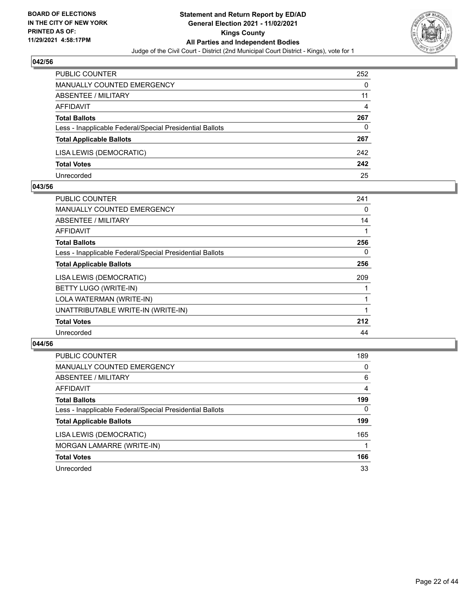

| <b>PUBLIC COUNTER</b>                                    | 252 |
|----------------------------------------------------------|-----|
| <b>MANUALLY COUNTED EMERGENCY</b>                        | 0   |
| ABSENTEE / MILITARY                                      | 11  |
| AFFIDAVIT                                                | 4   |
| <b>Total Ballots</b>                                     | 267 |
| Less - Inapplicable Federal/Special Presidential Ballots | 0   |
| <b>Total Applicable Ballots</b>                          | 267 |
| LISA LEWIS (DEMOCRATIC)                                  | 242 |
| <b>Total Votes</b>                                       | 242 |
| Unrecorded                                               | 25  |

#### **043/56**

| <b>PUBLIC COUNTER</b>                                    | 241 |
|----------------------------------------------------------|-----|
| <b>MANUALLY COUNTED EMERGENCY</b>                        | 0   |
| ABSENTEE / MILITARY                                      | 14  |
| AFFIDAVIT                                                |     |
| <b>Total Ballots</b>                                     | 256 |
| Less - Inapplicable Federal/Special Presidential Ballots | 0   |
| <b>Total Applicable Ballots</b>                          | 256 |
| LISA LEWIS (DEMOCRATIC)                                  | 209 |
| BETTY LUGO (WRITE-IN)                                    |     |
| LOLA WATERMAN (WRITE-IN)                                 |     |
| UNATTRIBUTABLE WRITE-IN (WRITE-IN)                       |     |
| <b>Total Votes</b>                                       | 212 |
| Unrecorded                                               | 44  |
|                                                          |     |

| <b>PUBLIC COUNTER</b>                                    | 189      |
|----------------------------------------------------------|----------|
| <b>MANUALLY COUNTED EMERGENCY</b>                        | 0        |
| ABSENTEE / MILITARY                                      | 6        |
| AFFIDAVIT                                                | 4        |
| <b>Total Ballots</b>                                     | 199      |
| Less - Inapplicable Federal/Special Presidential Ballots | $\Omega$ |
| <b>Total Applicable Ballots</b>                          | 199      |
| LISA LEWIS (DEMOCRATIC)                                  | 165      |
| MORGAN LAMARRE (WRITE-IN)                                |          |
| <b>Total Votes</b>                                       | 166      |
| Unrecorded                                               | 33       |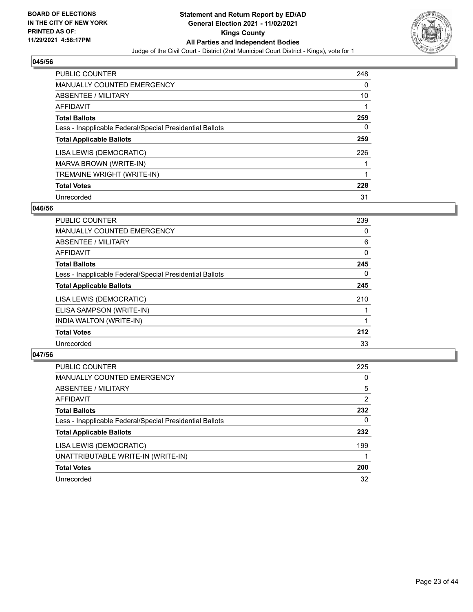

| <b>PUBLIC COUNTER</b>                                    | 248      |
|----------------------------------------------------------|----------|
| <b>MANUALLY COUNTED EMERGENCY</b>                        | $\Omega$ |
| ABSENTEE / MILITARY                                      | 10       |
| AFFIDAVIT                                                |          |
| <b>Total Ballots</b>                                     | 259      |
| Less - Inapplicable Federal/Special Presidential Ballots | 0        |
| <b>Total Applicable Ballots</b>                          | 259      |
| LISA LEWIS (DEMOCRATIC)                                  | 226      |
| MARVA BROWN (WRITE-IN)                                   |          |
| TREMAINE WRIGHT (WRITE-IN)                               |          |
| <b>Total Votes</b>                                       | 228      |
| Unrecorded                                               | 31       |

## **046/56**

| <b>PUBLIC COUNTER</b>                                    | 239      |
|----------------------------------------------------------|----------|
| <b>MANUALLY COUNTED EMERGENCY</b>                        | 0        |
| <b>ABSENTEE / MILITARY</b>                               | 6        |
| <b>AFFIDAVIT</b>                                         | $\Omega$ |
| <b>Total Ballots</b>                                     | 245      |
| Less - Inapplicable Federal/Special Presidential Ballots | $\Omega$ |
| <b>Total Applicable Ballots</b>                          | 245      |
| LISA LEWIS (DEMOCRATIC)                                  | 210      |
| ELISA SAMPSON (WRITE-IN)                                 |          |
| INDIA WALTON (WRITE-IN)                                  |          |
| <b>Total Votes</b>                                       | 212      |
| Unrecorded                                               | 33       |

| <b>PUBLIC COUNTER</b>                                    | 225 |
|----------------------------------------------------------|-----|
| <b>MANUALLY COUNTED EMERGENCY</b>                        | 0   |
| ABSENTEE / MILITARY                                      | 5   |
| AFFIDAVIT                                                | 2   |
| <b>Total Ballots</b>                                     | 232 |
| Less - Inapplicable Federal/Special Presidential Ballots | 0   |
| <b>Total Applicable Ballots</b>                          | 232 |
| LISA LEWIS (DEMOCRATIC)                                  | 199 |
| UNATTRIBUTABLE WRITE-IN (WRITE-IN)                       |     |
| <b>Total Votes</b>                                       | 200 |
| Unrecorded                                               | 32  |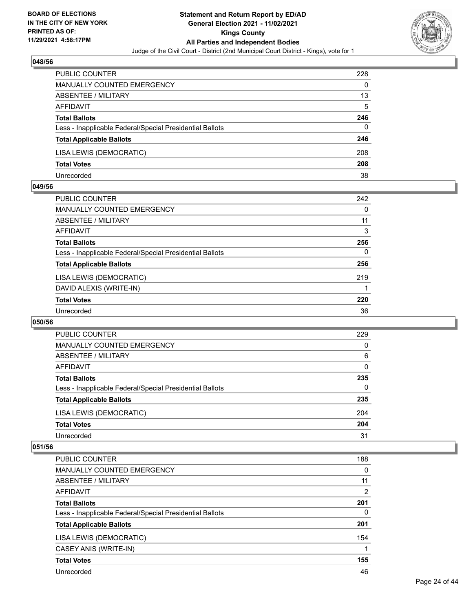

| <b>PUBLIC COUNTER</b>                                    | 228 |
|----------------------------------------------------------|-----|
| MANUALLY COUNTED EMERGENCY                               | 0   |
| ABSENTEE / MILITARY                                      | 13  |
| AFFIDAVIT                                                | 5   |
| <b>Total Ballots</b>                                     | 246 |
| Less - Inapplicable Federal/Special Presidential Ballots | 0   |
| <b>Total Applicable Ballots</b>                          | 246 |
| LISA LEWIS (DEMOCRATIC)                                  | 208 |
| <b>Total Votes</b>                                       | 208 |
| Unrecorded                                               | 38  |

#### **049/56**

| <b>PUBLIC COUNTER</b>                                    | 242      |
|----------------------------------------------------------|----------|
| <b>MANUALLY COUNTED EMERGENCY</b>                        | $\Omega$ |
| ABSENTEE / MILITARY                                      | 11       |
| AFFIDAVIT                                                | 3        |
| <b>Total Ballots</b>                                     | 256      |
| Less - Inapplicable Federal/Special Presidential Ballots | 0        |
| <b>Total Applicable Ballots</b>                          | 256      |
| LISA LEWIS (DEMOCRATIC)                                  | 219      |
| DAVID ALEXIS (WRITE-IN)                                  |          |
| <b>Total Votes</b>                                       | 220      |
| Unrecorded                                               | 36       |
|                                                          |          |

#### **050/56**

| PUBLIC COUNTER                                           | 229      |
|----------------------------------------------------------|----------|
| <b>MANUALLY COUNTED EMERGENCY</b>                        | 0        |
| ABSENTEE / MILITARY                                      | 6        |
| AFFIDAVIT                                                | 0        |
| <b>Total Ballots</b>                                     | 235      |
| Less - Inapplicable Federal/Special Presidential Ballots | $\Omega$ |
| <b>Total Applicable Ballots</b>                          | 235      |
| LISA LEWIS (DEMOCRATIC)                                  | 204      |
| <b>Total Votes</b>                                       | 204      |
| Unrecorded                                               | 31       |

| <b>PUBLIC COUNTER</b>                                    | 188            |
|----------------------------------------------------------|----------------|
| <b>MANUALLY COUNTED EMERGENCY</b>                        | $\Omega$       |
| ABSENTEE / MILITARY                                      | 11             |
| AFFIDAVIT                                                | $\overline{2}$ |
| <b>Total Ballots</b>                                     | 201            |
| Less - Inapplicable Federal/Special Presidential Ballots | 0              |
| <b>Total Applicable Ballots</b>                          | 201            |
| LISA LEWIS (DEMOCRATIC)                                  | 154            |
| CASEY ANIS (WRITE-IN)                                    |                |
| <b>Total Votes</b>                                       | 155            |
| Unrecorded                                               | 46             |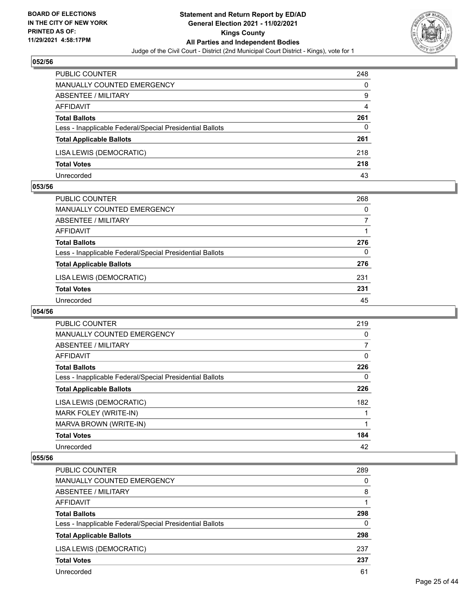

| <b>PUBLIC COUNTER</b>                                    | 248 |
|----------------------------------------------------------|-----|
| <b>MANUALLY COUNTED EMERGENCY</b>                        | 0   |
| ABSENTEE / MILITARY                                      | 9   |
| AFFIDAVIT                                                | 4   |
| <b>Total Ballots</b>                                     | 261 |
| Less - Inapplicable Federal/Special Presidential Ballots | 0   |
| <b>Total Applicable Ballots</b>                          | 261 |
| LISA LEWIS (DEMOCRATIC)                                  | 218 |
| <b>Total Votes</b>                                       | 218 |
| Unrecorded                                               | 43  |

#### **053/56**

| PUBLIC COUNTER                                           | 268 |
|----------------------------------------------------------|-----|
| MANUALLY COUNTED EMERGENCY                               | 0   |
| ABSENTEE / MILITARY                                      |     |
| AFFIDAVIT                                                |     |
| <b>Total Ballots</b>                                     | 276 |
| Less - Inapplicable Federal/Special Presidential Ballots | 0   |
| <b>Total Applicable Ballots</b>                          | 276 |
| LISA LEWIS (DEMOCRATIC)                                  | 231 |
| <b>Total Votes</b>                                       | 231 |
| Unrecorded                                               | 45  |

#### **054/56**

| <b>PUBLIC COUNTER</b>                                    | 219      |
|----------------------------------------------------------|----------|
| <b>MANUALLY COUNTED EMERGENCY</b>                        | 0        |
| ABSENTEE / MILITARY                                      | 7        |
| <b>AFFIDAVIT</b>                                         | $\Omega$ |
| <b>Total Ballots</b>                                     | 226      |
| Less - Inapplicable Federal/Special Presidential Ballots | $\Omega$ |
| <b>Total Applicable Ballots</b>                          | 226      |
| LISA LEWIS (DEMOCRATIC)                                  | 182      |
| MARK FOLEY (WRITE-IN)                                    |          |
| MARVA BROWN (WRITE-IN)                                   |          |
| <b>Total Votes</b>                                       | 184      |
| Unrecorded                                               | 42       |

| PUBLIC COUNTER                                           | 289      |
|----------------------------------------------------------|----------|
| MANUALLY COUNTED EMERGENCY                               | 0        |
| ABSENTEE / MILITARY                                      | 8        |
| AFFIDAVIT                                                |          |
| <b>Total Ballots</b>                                     | 298      |
| Less - Inapplicable Federal/Special Presidential Ballots | $\Omega$ |
| <b>Total Applicable Ballots</b>                          | 298      |
| LISA LEWIS (DEMOCRATIC)                                  | 237      |
| <b>Total Votes</b>                                       | 237      |
| Unrecorded                                               | 61       |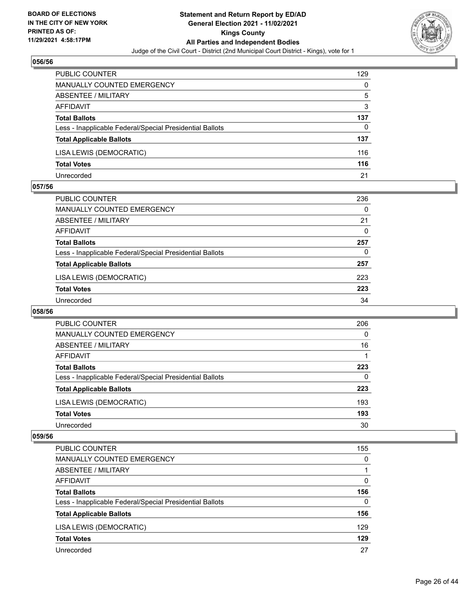

| <b>PUBLIC COUNTER</b>                                    | 129 |
|----------------------------------------------------------|-----|
| MANUALLY COUNTED EMERGENCY                               | 0   |
| ABSENTEE / MILITARY                                      | 5   |
| AFFIDAVIT                                                | 3   |
| <b>Total Ballots</b>                                     | 137 |
| Less - Inapplicable Federal/Special Presidential Ballots | 0   |
| <b>Total Applicable Ballots</b>                          | 137 |
| LISA LEWIS (DEMOCRATIC)                                  | 116 |
| <b>Total Votes</b>                                       | 116 |
| Unrecorded                                               | 21  |

#### **057/56**

| PUBLIC COUNTER                                           | 236      |
|----------------------------------------------------------|----------|
| MANUALLY COUNTED EMERGENCY                               | 0        |
| ABSENTEE / MILITARY                                      | 21       |
| AFFIDAVIT                                                | $\Omega$ |
| <b>Total Ballots</b>                                     | 257      |
| Less - Inapplicable Federal/Special Presidential Ballots | 0        |
| <b>Total Applicable Ballots</b>                          | 257      |
| LISA LEWIS (DEMOCRATIC)                                  | 223      |
| <b>Total Votes</b>                                       | 223      |
| Unrecorded                                               | 34       |
|                                                          |          |

# **058/56**

| <b>PUBLIC COUNTER</b>                                    | 206      |
|----------------------------------------------------------|----------|
| <b>MANUALLY COUNTED EMERGENCY</b>                        | $\Omega$ |
| ABSENTEE / MILITARY                                      | 16       |
| AFFIDAVIT                                                |          |
| <b>Total Ballots</b>                                     | 223      |
| Less - Inapplicable Federal/Special Presidential Ballots | 0        |
| <b>Total Applicable Ballots</b>                          | 223      |
| LISA LEWIS (DEMOCRATIC)                                  | 193      |
| <b>Total Votes</b>                                       | 193      |
| Unrecorded                                               | 30       |

| PUBLIC COUNTER                                           | 155 |
|----------------------------------------------------------|-----|
| <b>MANUALLY COUNTED EMERGENCY</b>                        | 0   |
| ABSENTEE / MILITARY                                      |     |
| AFFIDAVIT                                                | 0   |
| <b>Total Ballots</b>                                     | 156 |
| Less - Inapplicable Federal/Special Presidential Ballots | 0   |
| <b>Total Applicable Ballots</b>                          | 156 |
| LISA LEWIS (DEMOCRATIC)                                  | 129 |
| <b>Total Votes</b>                                       | 129 |
| Unrecorded                                               | 27  |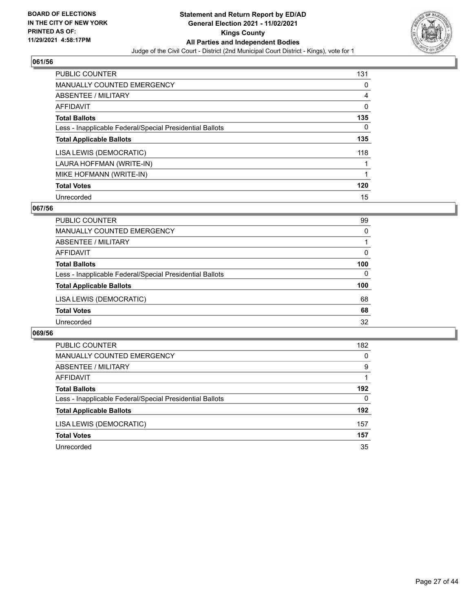

| <b>PUBLIC COUNTER</b>                                    | 131      |
|----------------------------------------------------------|----------|
| MANUALLY COUNTED EMERGENCY                               | $\Omega$ |
| ABSENTEE / MILITARY                                      | 4        |
| AFFIDAVIT                                                | 0        |
| <b>Total Ballots</b>                                     | 135      |
| Less - Inapplicable Federal/Special Presidential Ballots | 0        |
| <b>Total Applicable Ballots</b>                          | 135      |
| LISA LEWIS (DEMOCRATIC)                                  | 118      |
| LAURA HOFFMAN (WRITE-IN)                                 |          |
| MIKE HOFMANN (WRITE-IN)                                  |          |
| <b>Total Votes</b>                                       | 120      |
| Unrecorded                                               | 15       |

## **067/56**

| <b>PUBLIC COUNTER</b>                                    | 99       |
|----------------------------------------------------------|----------|
| MANUALLY COUNTED EMERGENCY                               | $\Omega$ |
| ABSENTEE / MILITARY                                      |          |
| AFFIDAVIT                                                | 0        |
| <b>Total Ballots</b>                                     | 100      |
| Less - Inapplicable Federal/Special Presidential Ballots | $\Omega$ |
| <b>Total Applicable Ballots</b>                          | 100      |
| LISA LEWIS (DEMOCRATIC)                                  | 68       |
| <b>Total Votes</b>                                       | 68       |
| Unrecorded                                               | 32       |

| PUBLIC COUNTER                                           | 182 |
|----------------------------------------------------------|-----|
| <b>MANUALLY COUNTED EMERGENCY</b>                        | 0   |
| ABSENTEE / MILITARY                                      | 9   |
| AFFIDAVIT                                                |     |
| <b>Total Ballots</b>                                     | 192 |
| Less - Inapplicable Federal/Special Presidential Ballots | 0   |
| <b>Total Applicable Ballots</b>                          | 192 |
| LISA LEWIS (DEMOCRATIC)                                  | 157 |
| <b>Total Votes</b>                                       | 157 |
| Unrecorded                                               | 35  |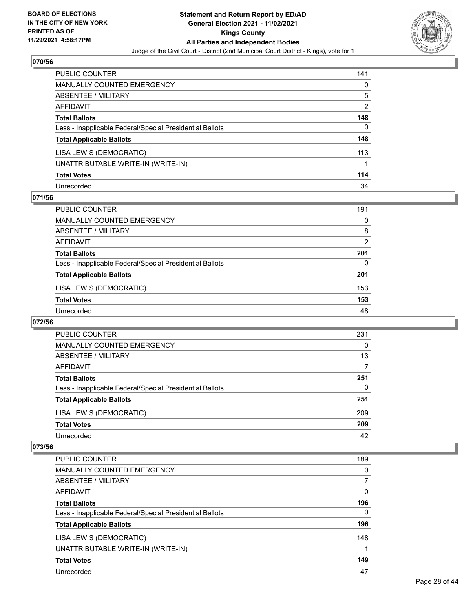

| <b>PUBLIC COUNTER</b>                                    | 141 |
|----------------------------------------------------------|-----|
| <b>MANUALLY COUNTED EMERGENCY</b>                        | 0   |
| ABSENTEE / MILITARY                                      | 5   |
| <b>AFFIDAVIT</b>                                         | 2   |
| <b>Total Ballots</b>                                     | 148 |
| Less - Inapplicable Federal/Special Presidential Ballots | 0   |
| <b>Total Applicable Ballots</b>                          | 148 |
| LISA LEWIS (DEMOCRATIC)                                  | 113 |
| UNATTRIBUTABLE WRITE-IN (WRITE-IN)                       |     |
| <b>Total Votes</b>                                       | 114 |
| Unrecorded                                               | 34  |

## **071/56**

| PUBLIC COUNTER                                           | 191            |
|----------------------------------------------------------|----------------|
| <b>MANUALLY COUNTED EMERGENCY</b>                        | 0              |
| ABSENTEE / MILITARY                                      | 8              |
| AFFIDAVIT                                                | $\overline{2}$ |
| <b>Total Ballots</b>                                     | 201            |
| Less - Inapplicable Federal/Special Presidential Ballots | $\Omega$       |
| <b>Total Applicable Ballots</b>                          | 201            |
| LISA LEWIS (DEMOCRATIC)                                  | 153            |
| <b>Total Votes</b>                                       | 153            |
| Unrecorded                                               | 48             |

#### **072/56**

| PUBLIC COUNTER                                           | 231      |
|----------------------------------------------------------|----------|
| <b>MANUALLY COUNTED EMERGENCY</b>                        | 0        |
| ABSENTEE / MILITARY                                      | 13       |
| AFFIDAVIT                                                |          |
| <b>Total Ballots</b>                                     | 251      |
| Less - Inapplicable Federal/Special Presidential Ballots | $\Omega$ |
| <b>Total Applicable Ballots</b>                          | 251      |
| LISA LEWIS (DEMOCRATIC)                                  | 209      |
| <b>Total Votes</b>                                       | 209      |
| Unrecorded                                               | 42       |

| <b>PUBLIC COUNTER</b>                                    | 189      |
|----------------------------------------------------------|----------|
| <b>MANUALLY COUNTED EMERGENCY</b>                        | 0        |
| ABSENTEE / MILITARY                                      | 7        |
| AFFIDAVIT                                                | $\Omega$ |
| <b>Total Ballots</b>                                     | 196      |
| Less - Inapplicable Federal/Special Presidential Ballots | 0        |
| <b>Total Applicable Ballots</b>                          | 196      |
| LISA LEWIS (DEMOCRATIC)                                  | 148      |
| UNATTRIBUTABLE WRITE-IN (WRITE-IN)                       |          |
| <b>Total Votes</b>                                       | 149      |
| Unrecorded                                               | 47       |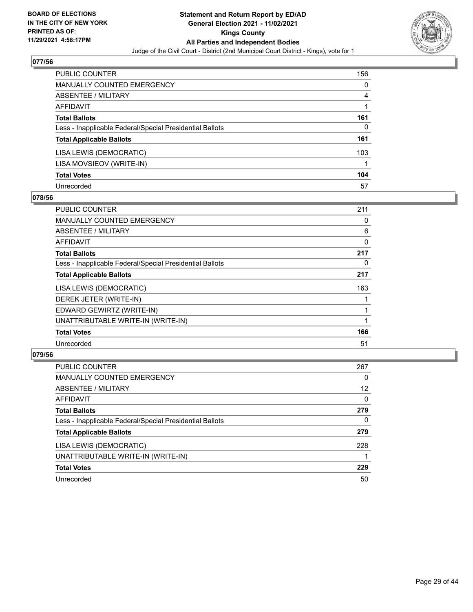

| <b>PUBLIC COUNTER</b>                                    | 156 |
|----------------------------------------------------------|-----|
| <b>MANUALLY COUNTED EMERGENCY</b>                        | 0   |
| ABSENTEE / MILITARY                                      | 4   |
| AFFIDAVIT                                                |     |
| <b>Total Ballots</b>                                     | 161 |
| Less - Inapplicable Federal/Special Presidential Ballots | 0   |
| <b>Total Applicable Ballots</b>                          | 161 |
| LISA LEWIS (DEMOCRATIC)                                  | 103 |
| LISA MOVSIEOV (WRITE-IN)                                 |     |
| <b>Total Votes</b>                                       | 104 |
| Unrecorded                                               | 57  |

#### **078/56**

| PUBLIC COUNTER                                           | 211 |
|----------------------------------------------------------|-----|
| <b>MANUALLY COUNTED EMERGENCY</b>                        | 0   |
| <b>ABSENTEE / MILITARY</b>                               | 6   |
| AFFIDAVIT                                                | 0   |
| <b>Total Ballots</b>                                     | 217 |
| Less - Inapplicable Federal/Special Presidential Ballots | 0   |
| <b>Total Applicable Ballots</b>                          | 217 |
| LISA LEWIS (DEMOCRATIC)                                  | 163 |
| DEREK JETER (WRITE-IN)                                   |     |
| EDWARD GEWIRTZ (WRITE-IN)                                |     |
| UNATTRIBUTABLE WRITE-IN (WRITE-IN)                       |     |
| <b>Total Votes</b>                                       | 166 |
| Unrecorded                                               | 51  |

| <b>PUBLIC COUNTER</b>                                    | 267      |
|----------------------------------------------------------|----------|
| MANUALLY COUNTED EMERGENCY                               | 0        |
| ABSENTEE / MILITARY                                      | 12       |
| AFFIDAVIT                                                | $\Omega$ |
| <b>Total Ballots</b>                                     | 279      |
| Less - Inapplicable Federal/Special Presidential Ballots | $\Omega$ |
| <b>Total Applicable Ballots</b>                          | 279      |
| LISA LEWIS (DEMOCRATIC)                                  | 228      |
| UNATTRIBUTABLE WRITE-IN (WRITE-IN)                       |          |
| <b>Total Votes</b>                                       | 229      |
| Unrecorded                                               | 50       |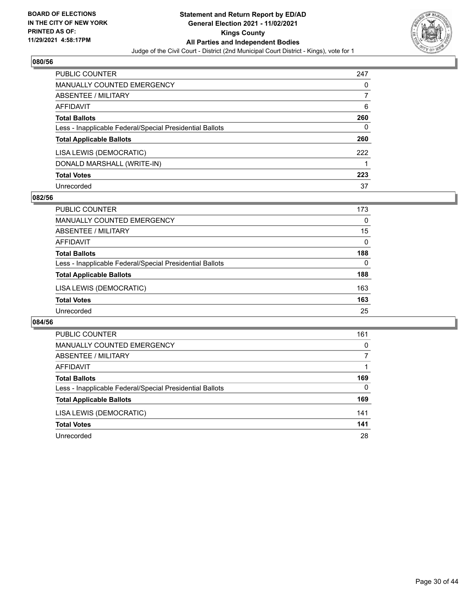

| <b>PUBLIC COUNTER</b>                                    | 247 |
|----------------------------------------------------------|-----|
| <b>MANUALLY COUNTED EMERGENCY</b>                        | 0   |
| <b>ABSENTEE / MILITARY</b>                               |     |
| AFFIDAVIT                                                | 6   |
| <b>Total Ballots</b>                                     | 260 |
| Less - Inapplicable Federal/Special Presidential Ballots | 0   |
| <b>Total Applicable Ballots</b>                          | 260 |
| LISA LEWIS (DEMOCRATIC)                                  | 222 |
| DONALD MARSHALL (WRITE-IN)                               |     |
| <b>Total Votes</b>                                       | 223 |
| Unrecorded                                               | 37  |

## **082/56**

| <b>PUBLIC COUNTER</b>                                    | 173      |
|----------------------------------------------------------|----------|
| MANUALLY COUNTED EMERGENCY                               | $\Omega$ |
| ABSENTEE / MILITARY                                      | 15       |
| AFFIDAVIT                                                | $\Omega$ |
| <b>Total Ballots</b>                                     | 188      |
| Less - Inapplicable Federal/Special Presidential Ballots | 0        |
| <b>Total Applicable Ballots</b>                          | 188      |
| LISA LEWIS (DEMOCRATIC)                                  | 163      |
| <b>Total Votes</b>                                       | 163      |
| Unrecorded                                               | 25       |

| PUBLIC COUNTER                                           | 161      |
|----------------------------------------------------------|----------|
| <b>MANUALLY COUNTED EMERGENCY</b>                        | 0        |
| ABSENTEE / MILITARY                                      |          |
| AFFIDAVIT                                                |          |
| <b>Total Ballots</b>                                     | 169      |
| Less - Inapplicable Federal/Special Presidential Ballots | $\Omega$ |
| <b>Total Applicable Ballots</b>                          | 169      |
| LISA LEWIS (DEMOCRATIC)                                  | 141      |
| <b>Total Votes</b>                                       | 141      |
| Unrecorded                                               | 28       |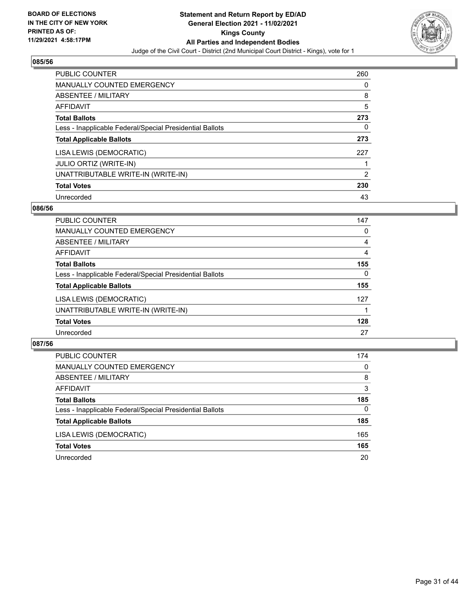

| <b>PUBLIC COUNTER</b>                                    | 260 |
|----------------------------------------------------------|-----|
| <b>MANUALLY COUNTED EMERGENCY</b>                        | 0   |
| ABSENTEE / MILITARY                                      | 8   |
| AFFIDAVIT                                                | 5   |
| <b>Total Ballots</b>                                     | 273 |
| Less - Inapplicable Federal/Special Presidential Ballots | 0   |
| <b>Total Applicable Ballots</b>                          | 273 |
| LISA LEWIS (DEMOCRATIC)                                  | 227 |
| <b>JULIO ORTIZ (WRITE-IN)</b>                            |     |
| UNATTRIBUTABLE WRITE-IN (WRITE-IN)                       | 2   |
| <b>Total Votes</b>                                       | 230 |
| Unrecorded                                               | 43  |

## **086/56**

| <b>PUBLIC COUNTER</b>                                    | 147      |
|----------------------------------------------------------|----------|
| MANUALLY COUNTED EMERGENCY                               | 0        |
| ABSENTEE / MILITARY                                      | 4        |
| <b>AFFIDAVIT</b>                                         | 4        |
| <b>Total Ballots</b>                                     | 155      |
| Less - Inapplicable Federal/Special Presidential Ballots | $\Omega$ |
| <b>Total Applicable Ballots</b>                          | 155      |
| LISA LEWIS (DEMOCRATIC)                                  | 127      |
| UNATTRIBUTABLE WRITE-IN (WRITE-IN)                       |          |
| <b>Total Votes</b>                                       | 128      |
| Unrecorded                                               | 27       |

| PUBLIC COUNTER                                           | 174      |
|----------------------------------------------------------|----------|
| MANUALLY COUNTED EMERGENCY                               | $\Omega$ |
| <b>ABSENTEE / MILITARY</b>                               | 8        |
| AFFIDAVIT                                                | 3        |
| <b>Total Ballots</b>                                     | 185      |
| Less - Inapplicable Federal/Special Presidential Ballots | $\Omega$ |
| <b>Total Applicable Ballots</b>                          | 185      |
| LISA LEWIS (DEMOCRATIC)                                  | 165      |
| <b>Total Votes</b>                                       | 165      |
| Unrecorded                                               | 20       |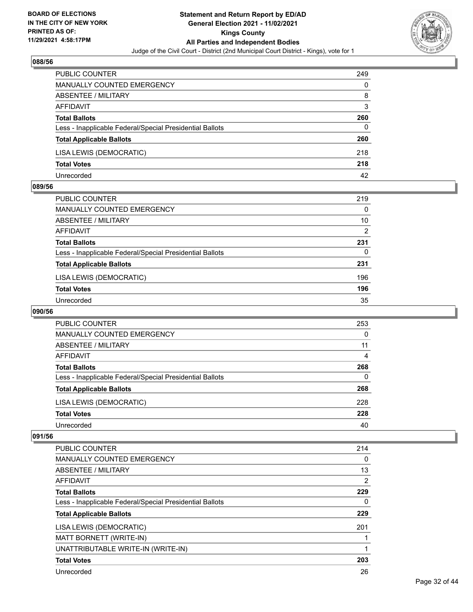

| PUBLIC COUNTER                                           | 249 |
|----------------------------------------------------------|-----|
| MANUALLY COUNTED EMERGENCY                               | 0   |
| <b>ABSENTEE / MILITARY</b>                               | 8   |
| AFFIDAVIT                                                | 3   |
| <b>Total Ballots</b>                                     | 260 |
| Less - Inapplicable Federal/Special Presidential Ballots | 0   |
| <b>Total Applicable Ballots</b>                          | 260 |
| LISA LEWIS (DEMOCRATIC)                                  | 218 |
| <b>Total Votes</b>                                       | 218 |
| Unrecorded                                               | 42  |

#### **089/56**

| <b>PUBLIC COUNTER</b>                                    | 219      |
|----------------------------------------------------------|----------|
| MANUALLY COUNTED EMERGENCY                               | $\Omega$ |
| ABSENTEE / MILITARY                                      | 10       |
| AFFIDAVIT                                                | 2        |
| <b>Total Ballots</b>                                     | 231      |
| Less - Inapplicable Federal/Special Presidential Ballots | 0        |
| <b>Total Applicable Ballots</b>                          | 231      |
| LISA LEWIS (DEMOCRATIC)                                  | 196      |
| <b>Total Votes</b>                                       | 196      |
| Unrecorded                                               | 35       |
|                                                          |          |

# **090/56**

| <b>PUBLIC COUNTER</b>                                    | 253      |
|----------------------------------------------------------|----------|
| <b>MANUALLY COUNTED EMERGENCY</b>                        | $\Omega$ |
| ABSENTEE / MILITARY                                      | 11       |
| AFFIDAVIT                                                | 4        |
| <b>Total Ballots</b>                                     | 268      |
| Less - Inapplicable Federal/Special Presidential Ballots | 0        |
| <b>Total Applicable Ballots</b>                          | 268      |
| LISA LEWIS (DEMOCRATIC)                                  | 228      |
| <b>Total Votes</b>                                       | 228      |
| Unrecorded                                               | 40       |

| PUBLIC COUNTER                                           | 214            |
|----------------------------------------------------------|----------------|
| <b>MANUALLY COUNTED EMERGENCY</b>                        | 0              |
| ABSENTEE / MILITARY                                      | 13             |
| <b>AFFIDAVIT</b>                                         | $\overline{2}$ |
| <b>Total Ballots</b>                                     | 229            |
| Less - Inapplicable Federal/Special Presidential Ballots | 0              |
| <b>Total Applicable Ballots</b>                          | 229            |
| LISA LEWIS (DEMOCRATIC)                                  | 201            |
| MATT BORNETT (WRITE-IN)                                  |                |
| UNATTRIBUTABLE WRITE-IN (WRITE-IN)                       |                |
| <b>Total Votes</b>                                       | 203            |
| Unrecorded                                               | 26             |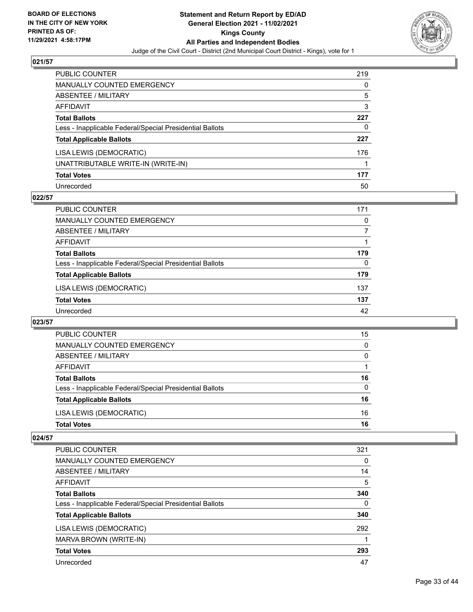

| PUBLIC COUNTER                                           | 219 |
|----------------------------------------------------------|-----|
| <b>MANUALLY COUNTED EMERGENCY</b>                        | 0   |
| <b>ABSENTEE / MILITARY</b>                               | 5   |
| AFFIDAVIT                                                | 3   |
| <b>Total Ballots</b>                                     | 227 |
| Less - Inapplicable Federal/Special Presidential Ballots | 0   |
| <b>Total Applicable Ballots</b>                          | 227 |
| LISA LEWIS (DEMOCRATIC)                                  | 176 |
| UNATTRIBUTABLE WRITE-IN (WRITE-IN)                       |     |
| <b>Total Votes</b>                                       | 177 |
| Unrecorded                                               | 50  |

## **022/57**

| <b>PUBLIC COUNTER</b>                                    | 171 |
|----------------------------------------------------------|-----|
| MANUALLY COUNTED EMERGENCY                               | 0   |
| ABSENTEE / MILITARY                                      |     |
| AFFIDAVIT                                                |     |
| <b>Total Ballots</b>                                     | 179 |
| Less - Inapplicable Federal/Special Presidential Ballots | 0   |
| <b>Total Applicable Ballots</b>                          | 179 |
| LISA LEWIS (DEMOCRATIC)                                  | 137 |
| <b>Total Votes</b>                                       | 137 |
| Unrecorded                                               | 42  |

#### **023/57**

| PUBLIC COUNTER                                           | 15       |
|----------------------------------------------------------|----------|
| MANUALLY COUNTED EMERGENCY                               | $\Omega$ |
| ABSENTEE / MILITARY                                      | 0        |
| AFFIDAVIT                                                |          |
| <b>Total Ballots</b>                                     | 16       |
| Less - Inapplicable Federal/Special Presidential Ballots | $\Omega$ |
| <b>Total Applicable Ballots</b>                          | 16       |
| LISA LEWIS (DEMOCRATIC)                                  | 16       |
| <b>Total Votes</b>                                       | 16       |

| <b>PUBLIC COUNTER</b>                                    | 321      |
|----------------------------------------------------------|----------|
| <b>MANUALLY COUNTED EMERGENCY</b>                        | 0        |
| ABSENTEE / MILITARY                                      | 14       |
| <b>AFFIDAVIT</b>                                         | 5        |
| <b>Total Ballots</b>                                     | 340      |
| Less - Inapplicable Federal/Special Presidential Ballots | $\Omega$ |
| <b>Total Applicable Ballots</b>                          | 340      |
| LISA LEWIS (DEMOCRATIC)                                  | 292      |
| MARVA BROWN (WRITE-IN)                                   |          |
| <b>Total Votes</b>                                       | 293      |
| Unrecorded                                               | 47       |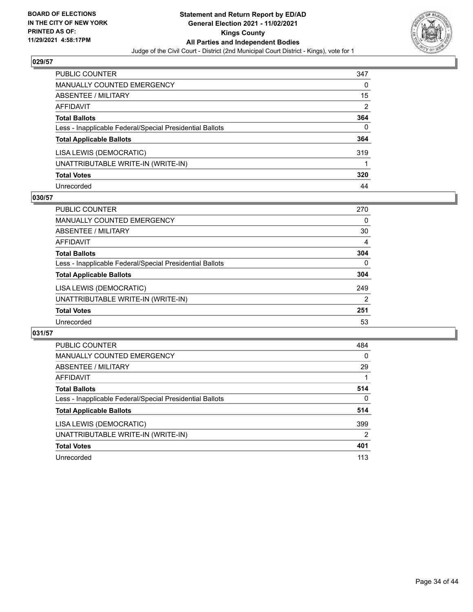

| PUBLIC COUNTER                                           | 347 |
|----------------------------------------------------------|-----|
| <b>MANUALLY COUNTED EMERGENCY</b>                        | 0   |
| <b>ABSENTEE / MILITARY</b>                               | 15  |
| AFFIDAVIT                                                | 2   |
| <b>Total Ballots</b>                                     | 364 |
| Less - Inapplicable Federal/Special Presidential Ballots | 0   |
| <b>Total Applicable Ballots</b>                          | 364 |
| LISA LEWIS (DEMOCRATIC)                                  | 319 |
| UNATTRIBUTABLE WRITE-IN (WRITE-IN)                       |     |
| <b>Total Votes</b>                                       | 320 |
| Unrecorded                                               | 44  |

## **030/57**

| <b>PUBLIC COUNTER</b>                                    | 270           |
|----------------------------------------------------------|---------------|
| MANUALLY COUNTED EMERGENCY                               | 0             |
| ABSENTEE / MILITARY                                      | 30            |
| AFFIDAVIT                                                | 4             |
| <b>Total Ballots</b>                                     | 304           |
| Less - Inapplicable Federal/Special Presidential Ballots | $\Omega$      |
| <b>Total Applicable Ballots</b>                          | 304           |
| LISA LEWIS (DEMOCRATIC)                                  | 249           |
| UNATTRIBUTABLE WRITE-IN (WRITE-IN)                       | $\mathcal{P}$ |
| <b>Total Votes</b>                                       | 251           |
| Unrecorded                                               | 53            |

| <b>PUBLIC COUNTER</b>                                    | 484            |
|----------------------------------------------------------|----------------|
| <b>MANUALLY COUNTED EMERGENCY</b>                        | $\Omega$       |
| ABSENTEE / MILITARY                                      | 29             |
| <b>AFFIDAVIT</b>                                         |                |
| <b>Total Ballots</b>                                     | 514            |
| Less - Inapplicable Federal/Special Presidential Ballots | 0              |
| <b>Total Applicable Ballots</b>                          | 514            |
| LISA LEWIS (DEMOCRATIC)                                  | 399            |
| UNATTRIBUTABLE WRITE-IN (WRITE-IN)                       | $\overline{2}$ |
| <b>Total Votes</b>                                       | 401            |
| Unrecorded                                               | 113            |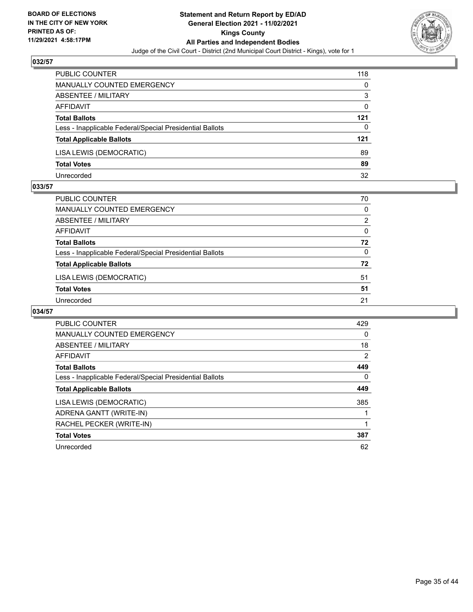

| PUBLIC COUNTER                                           | 118 |
|----------------------------------------------------------|-----|
| MANUALLY COUNTED EMERGENCY                               | 0   |
| <b>ABSENTEE / MILITARY</b>                               | 3   |
| AFFIDAVIT                                                | 0   |
| <b>Total Ballots</b>                                     | 121 |
| Less - Inapplicable Federal/Special Presidential Ballots | 0   |
| <b>Total Applicable Ballots</b>                          | 121 |
| LISA LEWIS (DEMOCRATIC)                                  | 89  |
| <b>Total Votes</b>                                       | 89  |
| Unrecorded                                               | 32  |

#### **033/57**

| PUBLIC COUNTER                                           | 70             |
|----------------------------------------------------------|----------------|
| <b>MANUALLY COUNTED EMERGENCY</b>                        | $\Omega$       |
| <b>ABSENTEE / MILITARY</b>                               | $\overline{2}$ |
| <b>AFFIDAVIT</b>                                         | $\Omega$       |
| <b>Total Ballots</b>                                     | 72             |
| Less - Inapplicable Federal/Special Presidential Ballots | $\Omega$       |
| <b>Total Applicable Ballots</b>                          | 72             |
| LISA LEWIS (DEMOCRATIC)                                  | 51             |
| <b>Total Votes</b>                                       | 51             |
| Unrecorded                                               | 21             |

| <b>PUBLIC COUNTER</b>                                    | 429 |
|----------------------------------------------------------|-----|
| <b>MANUALLY COUNTED EMERGENCY</b>                        | 0   |
| ABSENTEE / MILITARY                                      | 18  |
| <b>AFFIDAVIT</b>                                         | 2   |
| <b>Total Ballots</b>                                     | 449 |
| Less - Inapplicable Federal/Special Presidential Ballots | 0   |
| <b>Total Applicable Ballots</b>                          | 449 |
| LISA LEWIS (DEMOCRATIC)                                  | 385 |
| ADRENA GANTT (WRITE-IN)                                  |     |
| RACHEL PECKER (WRITE-IN)                                 |     |
| <b>Total Votes</b>                                       | 387 |
| Unrecorded                                               | 62  |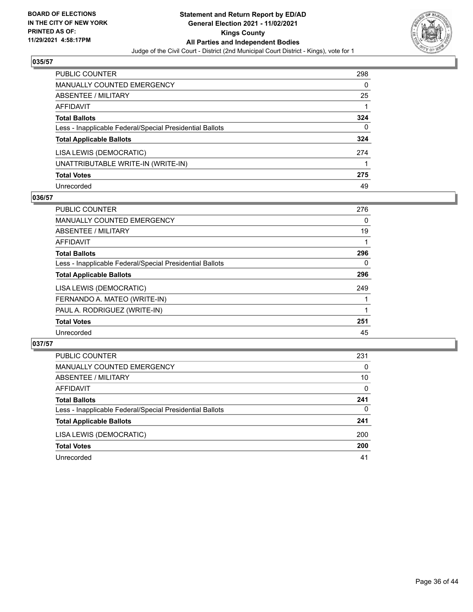

| <b>PUBLIC COUNTER</b>                                    | 298 |
|----------------------------------------------------------|-----|
| <b>MANUALLY COUNTED EMERGENCY</b>                        | 0   |
| ABSENTEE / MILITARY                                      | 25  |
| AFFIDAVIT                                                |     |
| <b>Total Ballots</b>                                     | 324 |
| Less - Inapplicable Federal/Special Presidential Ballots | 0   |
| <b>Total Applicable Ballots</b>                          | 324 |
| LISA LEWIS (DEMOCRATIC)                                  | 274 |
| UNATTRIBUTABLE WRITE-IN (WRITE-IN)                       |     |
| <b>Total Votes</b>                                       | 275 |
| Unrecorded                                               | 49  |

## **036/57**

| <b>PUBLIC COUNTER</b>                                    | 276      |
|----------------------------------------------------------|----------|
| <b>MANUALLY COUNTED EMERGENCY</b>                        | 0        |
| ABSENTEE / MILITARY                                      | 19       |
| AFFIDAVIT                                                |          |
| <b>Total Ballots</b>                                     | 296      |
| Less - Inapplicable Federal/Special Presidential Ballots | $\Omega$ |
| <b>Total Applicable Ballots</b>                          | 296      |
| LISA LEWIS (DEMOCRATIC)                                  | 249      |
| FERNANDO A. MATEO (WRITE-IN)                             |          |
| PAUL A. RODRIGUEZ (WRITE-IN)                             |          |
| <b>Total Votes</b>                                       | 251      |
| Unrecorded                                               | 45       |

| PUBLIC COUNTER                                           | 231      |
|----------------------------------------------------------|----------|
| MANUALLY COUNTED EMERGENCY                               | $\Omega$ |
| <b>ABSENTEE / MILITARY</b>                               | 10       |
| AFFIDAVIT                                                | $\Omega$ |
| <b>Total Ballots</b>                                     | 241      |
| Less - Inapplicable Federal/Special Presidential Ballots | 0        |
| <b>Total Applicable Ballots</b>                          | 241      |
| LISA LEWIS (DEMOCRATIC)                                  | 200      |
| <b>Total Votes</b>                                       | 200      |
| Unrecorded                                               | 41       |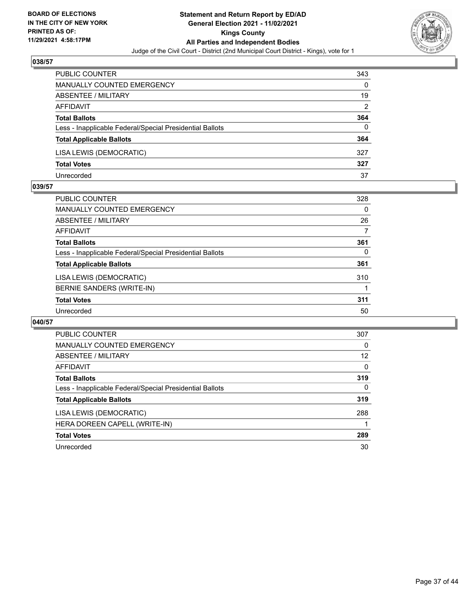

| <b>PUBLIC COUNTER</b>                                    | 343 |
|----------------------------------------------------------|-----|
| <b>MANUALLY COUNTED EMERGENCY</b>                        | 0   |
| ABSENTEE / MILITARY                                      | 19  |
| AFFIDAVIT                                                | 2   |
| <b>Total Ballots</b>                                     | 364 |
| Less - Inapplicable Federal/Special Presidential Ballots | 0   |
| <b>Total Applicable Ballots</b>                          | 364 |
| LISA LEWIS (DEMOCRATIC)                                  | 327 |
| <b>Total Votes</b>                                       | 327 |
| Unrecorded                                               | 37  |

#### **039/57**

| <b>PUBLIC COUNTER</b>                                    | 328 |
|----------------------------------------------------------|-----|
| MANUALLY COUNTED EMERGENCY                               | 0   |
| ABSENTEE / MILITARY                                      | 26  |
| AFFIDAVIT                                                | 7   |
| <b>Total Ballots</b>                                     | 361 |
| Less - Inapplicable Federal/Special Presidential Ballots | 0   |
| <b>Total Applicable Ballots</b>                          | 361 |
| LISA LEWIS (DEMOCRATIC)                                  | 310 |
| BERNIE SANDERS (WRITE-IN)                                |     |
| <b>Total Votes</b>                                       | 311 |
| Unrecorded                                               | 50  |
|                                                          |     |

| <b>PUBLIC COUNTER</b>                                    | 307      |
|----------------------------------------------------------|----------|
| <b>MANUALLY COUNTED EMERGENCY</b>                        | 0        |
| ABSENTEE / MILITARY                                      | 12       |
| AFFIDAVIT                                                | 0        |
| <b>Total Ballots</b>                                     | 319      |
| Less - Inapplicable Federal/Special Presidential Ballots | $\Omega$ |
| <b>Total Applicable Ballots</b>                          | 319      |
| LISA LEWIS (DEMOCRATIC)                                  | 288      |
| HERA DOREEN CAPELL (WRITE-IN)                            |          |
| <b>Total Votes</b>                                       | 289      |
| Unrecorded                                               | 30       |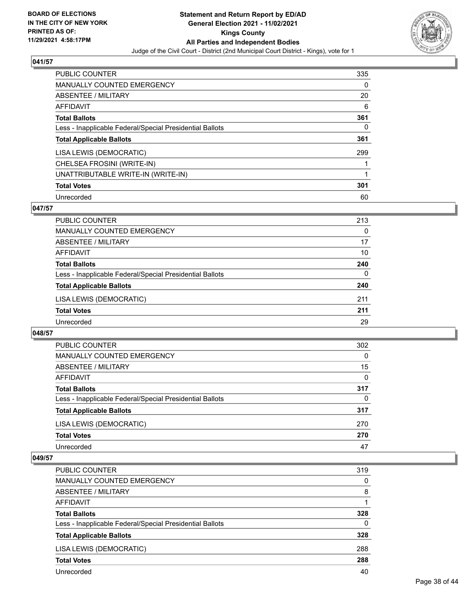

| <b>PUBLIC COUNTER</b>                                    | 335 |
|----------------------------------------------------------|-----|
| <b>MANUALLY COUNTED EMERGENCY</b>                        | 0   |
| ABSENTEE / MILITARY                                      | 20  |
| AFFIDAVIT                                                | 6   |
| <b>Total Ballots</b>                                     | 361 |
| Less - Inapplicable Federal/Special Presidential Ballots | 0   |
| <b>Total Applicable Ballots</b>                          | 361 |
| LISA LEWIS (DEMOCRATIC)                                  | 299 |
| CHELSEA FROSINI (WRITE-IN)                               |     |
| UNATTRIBUTABLE WRITE-IN (WRITE-IN)                       |     |
| <b>Total Votes</b>                                       | 301 |
| Unrecorded                                               | 60  |

## **047/57**

| <b>PUBLIC COUNTER</b>                                    | 213      |
|----------------------------------------------------------|----------|
| MANUALLY COUNTED EMERGENCY                               | $\Omega$ |
| ABSENTEE / MILITARY                                      | 17       |
| AFFIDAVIT                                                | 10       |
| <b>Total Ballots</b>                                     | 240      |
| Less - Inapplicable Federal/Special Presidential Ballots | $\Omega$ |
| <b>Total Applicable Ballots</b>                          | 240      |
| LISA LEWIS (DEMOCRATIC)                                  | 211      |
| <b>Total Votes</b>                                       | 211      |
| Unrecorded                                               | 29       |

#### **048/57**

| <b>PUBLIC COUNTER</b>                                    | 302 |
|----------------------------------------------------------|-----|
| <b>MANUALLY COUNTED EMERGENCY</b>                        | 0   |
| ABSENTEE / MILITARY                                      | 15  |
| AFFIDAVIT                                                | 0   |
| <b>Total Ballots</b>                                     | 317 |
| Less - Inapplicable Federal/Special Presidential Ballots | 0   |
| <b>Total Applicable Ballots</b>                          | 317 |
| LISA LEWIS (DEMOCRATIC)                                  | 270 |
| <b>Total Votes</b>                                       | 270 |
| Unrecorded                                               | 47  |

| PUBLIC COUNTER                                           | 319      |
|----------------------------------------------------------|----------|
| <b>MANUALLY COUNTED EMERGENCY</b>                        | $\Omega$ |
| ABSENTEE / MILITARY                                      | 8        |
| AFFIDAVIT                                                |          |
| <b>Total Ballots</b>                                     | 328      |
| Less - Inapplicable Federal/Special Presidential Ballots | $\Omega$ |
| <b>Total Applicable Ballots</b>                          | 328      |
| LISA LEWIS (DEMOCRATIC)                                  | 288      |
| <b>Total Votes</b>                                       | 288      |
| Unrecorded                                               | 40       |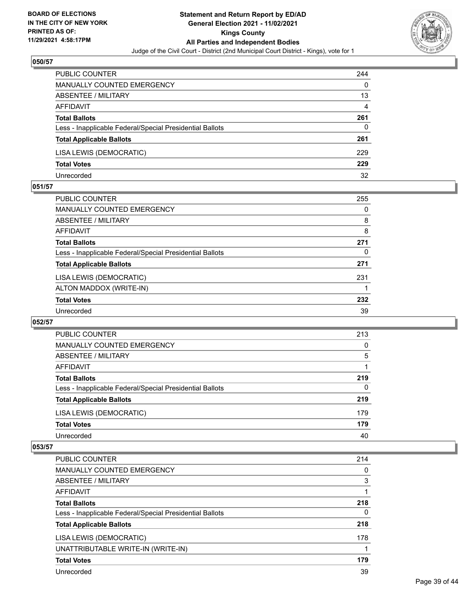

| PUBLIC COUNTER                                           | 244 |
|----------------------------------------------------------|-----|
| MANUALLY COUNTED EMERGENCY                               | 0   |
| <b>ABSENTEE / MILITARY</b>                               | 13  |
| AFFIDAVIT                                                | 4   |
| <b>Total Ballots</b>                                     | 261 |
| Less - Inapplicable Federal/Special Presidential Ballots | 0   |
| <b>Total Applicable Ballots</b>                          | 261 |
| LISA LEWIS (DEMOCRATIC)                                  | 229 |
| <b>Total Votes</b>                                       | 229 |
| Unrecorded                                               | 32  |

#### **051/57**

| PUBLIC COUNTER                                           | 255 |
|----------------------------------------------------------|-----|
| <b>MANUALLY COUNTED EMERGENCY</b>                        | 0   |
| ABSENTEE / MILITARY                                      | 8   |
| AFFIDAVIT                                                | 8   |
| <b>Total Ballots</b>                                     | 271 |
| Less - Inapplicable Federal/Special Presidential Ballots | 0   |
| <b>Total Applicable Ballots</b>                          | 271 |
| LISA LEWIS (DEMOCRATIC)                                  | 231 |
| ALTON MADDOX (WRITE-IN)                                  |     |
| <b>Total Votes</b>                                       | 232 |
| Unrecorded                                               | 39  |
|                                                          |     |

#### **052/57**

| PUBLIC COUNTER                                           | 213      |
|----------------------------------------------------------|----------|
| <b>MANUALLY COUNTED EMERGENCY</b>                        | $\Omega$ |
| ABSENTEE / MILITARY                                      | 5        |
| AFFIDAVIT                                                |          |
| <b>Total Ballots</b>                                     | 219      |
| Less - Inapplicable Federal/Special Presidential Ballots | $\Omega$ |
| <b>Total Applicable Ballots</b>                          | 219      |
| LISA LEWIS (DEMOCRATIC)                                  | 179      |
| <b>Total Votes</b>                                       | 179      |
| Unrecorded                                               | 40       |

| <b>PUBLIC COUNTER</b>                                    | 214      |
|----------------------------------------------------------|----------|
| <b>MANUALLY COUNTED EMERGENCY</b>                        | 0        |
| ABSENTEE / MILITARY                                      | 3        |
| AFFIDAVIT                                                |          |
| <b>Total Ballots</b>                                     | 218      |
| Less - Inapplicable Federal/Special Presidential Ballots | $\Omega$ |
| <b>Total Applicable Ballots</b>                          | 218      |
| LISA LEWIS (DEMOCRATIC)                                  | 178      |
| UNATTRIBUTABLE WRITE-IN (WRITE-IN)                       |          |
| <b>Total Votes</b>                                       | 179      |
| Unrecorded                                               | 39       |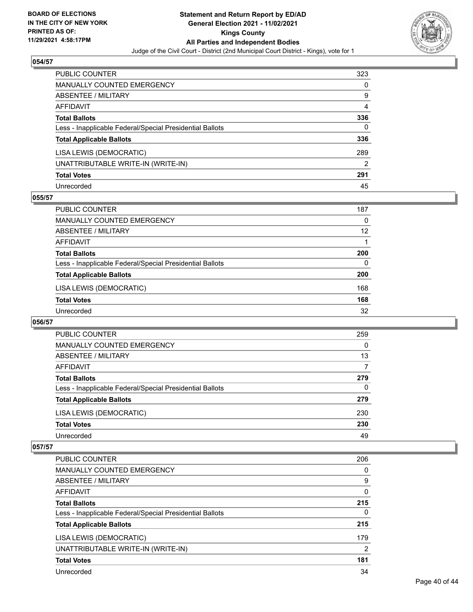

| <b>PUBLIC COUNTER</b>                                    | 323 |
|----------------------------------------------------------|-----|
| <b>MANUALLY COUNTED EMERGENCY</b>                        | 0   |
| ABSENTEE / MILITARY                                      | 9   |
| <b>AFFIDAVIT</b>                                         | 4   |
| <b>Total Ballots</b>                                     | 336 |
| Less - Inapplicable Federal/Special Presidential Ballots | 0   |
| <b>Total Applicable Ballots</b>                          | 336 |
| LISA LEWIS (DEMOCRATIC)                                  | 289 |
| UNATTRIBUTABLE WRITE-IN (WRITE-IN)                       | 2   |
| <b>Total Votes</b>                                       | 291 |
| Unrecorded                                               | 45  |

## **055/57**

| PUBLIC COUNTER                                           | 187      |
|----------------------------------------------------------|----------|
| <b>MANUALLY COUNTED EMERGENCY</b>                        | 0        |
| ABSENTEE / MILITARY                                      | 12       |
| AFFIDAVIT                                                |          |
| <b>Total Ballots</b>                                     | 200      |
| Less - Inapplicable Federal/Special Presidential Ballots | $\Omega$ |
| <b>Total Applicable Ballots</b>                          | 200      |
| LISA LEWIS (DEMOCRATIC)                                  | 168      |
| <b>Total Votes</b>                                       | 168      |
| Unrecorded                                               | 32       |

#### **056/57**

| PUBLIC COUNTER                                           | 259      |
|----------------------------------------------------------|----------|
| <b>MANUALLY COUNTED EMERGENCY</b>                        | 0        |
| ABSENTEE / MILITARY                                      | 13       |
| AFFIDAVIT                                                |          |
| <b>Total Ballots</b>                                     | 279      |
| Less - Inapplicable Federal/Special Presidential Ballots | $\Omega$ |
| <b>Total Applicable Ballots</b>                          | 279      |
| LISA LEWIS (DEMOCRATIC)                                  | 230      |
| <b>Total Votes</b>                                       | 230      |
| Unrecorded                                               | 49       |

| <b>PUBLIC COUNTER</b>                                    | 206            |
|----------------------------------------------------------|----------------|
| <b>MANUALLY COUNTED EMERGENCY</b>                        | 0              |
| ABSENTEE / MILITARY                                      | 9              |
| AFFIDAVIT                                                | $\Omega$       |
| <b>Total Ballots</b>                                     | 215            |
| Less - Inapplicable Federal/Special Presidential Ballots | 0              |
| <b>Total Applicable Ballots</b>                          | 215            |
| LISA LEWIS (DEMOCRATIC)                                  | 179            |
| UNATTRIBUTABLE WRITE-IN (WRITE-IN)                       | $\overline{2}$ |
| <b>Total Votes</b>                                       | 181            |
| Unrecorded                                               | 34             |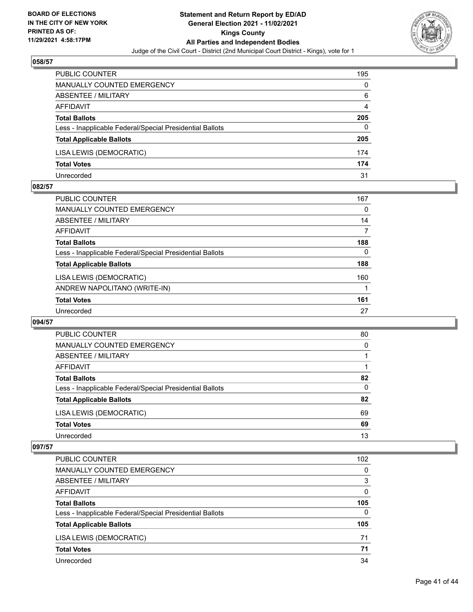

| PUBLIC COUNTER                                           | 195 |
|----------------------------------------------------------|-----|
| <b>MANUALLY COUNTED EMERGENCY</b>                        | 0   |
| ABSENTEE / MILITARY                                      | 6   |
| AFFIDAVIT                                                | 4   |
| <b>Total Ballots</b>                                     | 205 |
| Less - Inapplicable Federal/Special Presidential Ballots | 0   |
| <b>Total Applicable Ballots</b>                          | 205 |
| LISA LEWIS (DEMOCRATIC)                                  | 174 |
| <b>Total Votes</b>                                       | 174 |
| Unrecorded                                               | 31  |

#### **082/57**

| <b>PUBLIC COUNTER</b>                                    | 167      |
|----------------------------------------------------------|----------|
| <b>MANUALLY COUNTED EMERGENCY</b>                        | 0        |
| ABSENTEE / MILITARY                                      | 14       |
| AFFIDAVIT                                                | 7        |
| <b>Total Ballots</b>                                     | 188      |
| Less - Inapplicable Federal/Special Presidential Ballots | $\Omega$ |
| <b>Total Applicable Ballots</b>                          | 188      |
| LISA LEWIS (DEMOCRATIC)                                  | 160      |
| ANDREW NAPOLITANO (WRITE-IN)                             |          |
| <b>Total Votes</b>                                       | 161      |
| Unrecorded                                               | 27       |
|                                                          |          |

#### **094/57**

| PUBLIC COUNTER                                           | 80       |
|----------------------------------------------------------|----------|
| <b>MANUALLY COUNTED EMERGENCY</b>                        | $\Omega$ |
| ABSENTEE / MILITARY                                      |          |
| AFFIDAVIT                                                |          |
| <b>Total Ballots</b>                                     | 82       |
| Less - Inapplicable Federal/Special Presidential Ballots | $\Omega$ |
| <b>Total Applicable Ballots</b>                          | 82       |
| LISA LEWIS (DEMOCRATIC)                                  | 69       |
| <b>Total Votes</b>                                       | 69       |
| Unrecorded                                               | 13       |

| PUBLIC COUNTER                                           | 102      |
|----------------------------------------------------------|----------|
| <b>MANUALLY COUNTED EMERGENCY</b>                        | 0        |
| ABSENTEE / MILITARY                                      | 3        |
| <b>AFFIDAVIT</b>                                         | $\Omega$ |
| <b>Total Ballots</b>                                     | 105      |
| Less - Inapplicable Federal/Special Presidential Ballots | $\Omega$ |
| <b>Total Applicable Ballots</b>                          | 105      |
| LISA LEWIS (DEMOCRATIC)                                  | 71       |
| <b>Total Votes</b>                                       | 71       |
| Unrecorded                                               | 34       |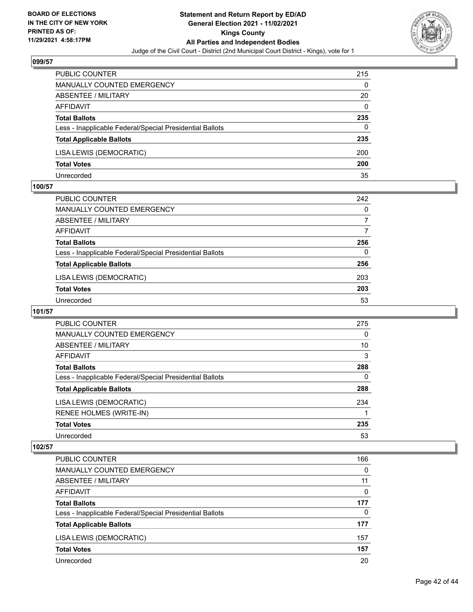

| <b>PUBLIC COUNTER</b>                                    | 215      |
|----------------------------------------------------------|----------|
| MANUALLY COUNTED EMERGENCY                               | 0        |
| ABSENTEE / MILITARY                                      | 20       |
| AFFIDAVIT                                                | $\Omega$ |
| <b>Total Ballots</b>                                     | 235      |
| Less - Inapplicable Federal/Special Presidential Ballots | 0        |
| <b>Total Applicable Ballots</b>                          | 235      |
| LISA LEWIS (DEMOCRATIC)                                  | 200      |
| <b>Total Votes</b>                                       | 200      |
| Unrecorded                                               | 35       |

#### **100/57**

| PUBLIC COUNTER                                           | 242      |
|----------------------------------------------------------|----------|
| MANUALLY COUNTED EMERGENCY                               | $\Omega$ |
| ABSENTEE / MILITARY                                      | 7        |
| AFFIDAVIT                                                | 7        |
| <b>Total Ballots</b>                                     | 256      |
| Less - Inapplicable Federal/Special Presidential Ballots | $\Omega$ |
| <b>Total Applicable Ballots</b>                          | 256      |
| LISA LEWIS (DEMOCRATIC)                                  | 203      |
| <b>Total Votes</b>                                       | 203      |
| Unrecorded                                               | 53       |

# **101/57**

| PUBLIC COUNTER                                           | 275      |
|----------------------------------------------------------|----------|
| <b>MANUALLY COUNTED EMERGENCY</b>                        | $\Omega$ |
| ABSENTEE / MILITARY                                      | 10       |
| AFFIDAVIT                                                | 3        |
| <b>Total Ballots</b>                                     | 288      |
| Less - Inapplicable Federal/Special Presidential Ballots | 0        |
| <b>Total Applicable Ballots</b>                          | 288      |
| LISA LEWIS (DEMOCRATIC)                                  | 234      |
| RENEE HOLMES (WRITE-IN)                                  |          |
| <b>Total Votes</b>                                       | 235      |
| Unrecorded                                               | 53       |

| PUBLIC COUNTER                                           | 166      |
|----------------------------------------------------------|----------|
| <b>MANUALLY COUNTED EMERGENCY</b>                        | $\Omega$ |
| ABSENTEE / MILITARY                                      | 11       |
| AFFIDAVIT                                                | $\Omega$ |
| <b>Total Ballots</b>                                     | 177      |
| Less - Inapplicable Federal/Special Presidential Ballots | $\Omega$ |
| <b>Total Applicable Ballots</b>                          | 177      |
| LISA LEWIS (DEMOCRATIC)                                  | 157      |
| <b>Total Votes</b>                                       | 157      |
| Unrecorded                                               | 20       |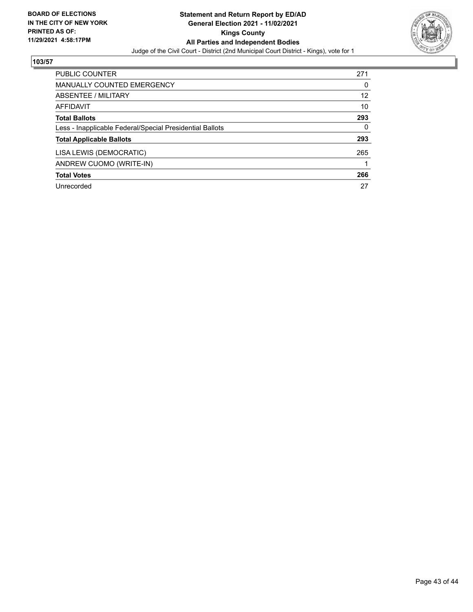

| <b>PUBLIC COUNTER</b>                                    | 271 |
|----------------------------------------------------------|-----|
| <b>MANUALLY COUNTED EMERGENCY</b>                        | 0   |
| ABSENTEE / MILITARY                                      | 12  |
| AFFIDAVIT                                                | 10  |
| <b>Total Ballots</b>                                     | 293 |
| Less - Inapplicable Federal/Special Presidential Ballots | 0   |
| <b>Total Applicable Ballots</b>                          | 293 |
| LISA LEWIS (DEMOCRATIC)                                  | 265 |
| ANDREW CUOMO (WRITE-IN)                                  | 1   |
| <b>Total Votes</b>                                       | 266 |
| Unrecorded                                               | 27  |